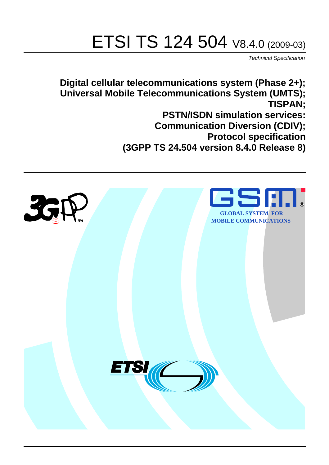# ETSI TS 124 504 V8.4.0 (2009-03)

*Technical Specification*

**Digital cellular telecommunications system (Phase 2+); Universal Mobile Telecommunications System (UMTS); TISPAN; PSTN/ISDN simulation services: Communication Diversion (CDIV); Protocol specification (3GPP TS 24.504 version 8.4.0 Release 8)**

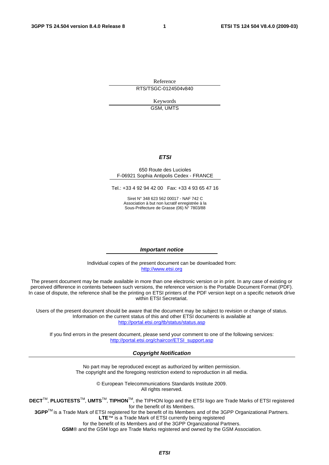Reference RTS/TSGC-0124504v840

> Keywords GSM, UMTS

#### *ETSI*

#### 650 Route des Lucioles F-06921 Sophia Antipolis Cedex - FRANCE

Tel.: +33 4 92 94 42 00 Fax: +33 4 93 65 47 16

Siret N° 348 623 562 00017 - NAF 742 C Association à but non lucratif enregistrée à la Sous-Préfecture de Grasse (06) N° 7803/88

#### *Important notice*

Individual copies of the present document can be downloaded from: [http://www.etsi.org](http://www.etsi.org/)

The present document may be made available in more than one electronic version or in print. In any case of existing or perceived difference in contents between such versions, the reference version is the Portable Document Format (PDF). In case of dispute, the reference shall be the printing on ETSI printers of the PDF version kept on a specific network drive within ETSI Secretariat.

Users of the present document should be aware that the document may be subject to revision or change of status. Information on the current status of this and other ETSI documents is available at <http://portal.etsi.org/tb/status/status.asp>

If you find errors in the present document, please send your comment to one of the following services: [http://portal.etsi.org/chaircor/ETSI\\_support.asp](http://portal.etsi.org/chaircor/ETSI_support.asp)

#### *Copyright Notification*

No part may be reproduced except as authorized by written permission. The copyright and the foregoing restriction extend to reproduction in all media.

> © European Telecommunications Standards Institute 2009. All rights reserved.

**DECT**TM, **PLUGTESTS**TM, **UMTS**TM, **TIPHON**TM, the TIPHON logo and the ETSI logo are Trade Marks of ETSI registered for the benefit of its Members.

**3GPP**TM is a Trade Mark of ETSI registered for the benefit of its Members and of the 3GPP Organizational Partners. **LTE**™ is a Trade Mark of ETSI currently being registered

for the benefit of its Members and of the 3GPP Organizational Partners.

**GSM**® and the GSM logo are Trade Marks registered and owned by the GSM Association.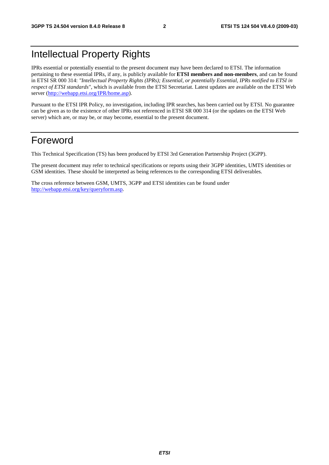## Intellectual Property Rights

IPRs essential or potentially essential to the present document may have been declared to ETSI. The information pertaining to these essential IPRs, if any, is publicly available for **ETSI members and non-members**, and can be found in ETSI SR 000 314: *"Intellectual Property Rights (IPRs); Essential, or potentially Essential, IPRs notified to ETSI in respect of ETSI standards"*, which is available from the ETSI Secretariat. Latest updates are available on the ETSI Web server ([http://webapp.etsi.org/IPR/home.asp\)](http://webapp.etsi.org/IPR/home.asp).

Pursuant to the ETSI IPR Policy, no investigation, including IPR searches, has been carried out by ETSI. No guarantee can be given as to the existence of other IPRs not referenced in ETSI SR 000 314 (or the updates on the ETSI Web server) which are, or may be, or may become, essential to the present document.

### Foreword

This Technical Specification (TS) has been produced by ETSI 3rd Generation Partnership Project (3GPP).

The present document may refer to technical specifications or reports using their 3GPP identities, UMTS identities or GSM identities. These should be interpreted as being references to the corresponding ETSI deliverables.

The cross reference between GSM, UMTS, 3GPP and ETSI identities can be found under [http://webapp.etsi.org/key/queryform.asp.](http://webapp.etsi.org/key/queryform.asp)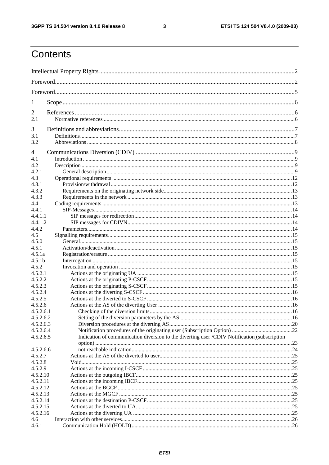$\mathbf{3}$ 

## Contents

| 1                  |                                                                                              |  |  |  |  |
|--------------------|----------------------------------------------------------------------------------------------|--|--|--|--|
| $\overline{2}$     |                                                                                              |  |  |  |  |
| 2.1                |                                                                                              |  |  |  |  |
|                    |                                                                                              |  |  |  |  |
| 3                  |                                                                                              |  |  |  |  |
| 3.1                |                                                                                              |  |  |  |  |
| 3.2                |                                                                                              |  |  |  |  |
| 4                  |                                                                                              |  |  |  |  |
| 4.1                |                                                                                              |  |  |  |  |
| 4.2                |                                                                                              |  |  |  |  |
| 4.2.1              |                                                                                              |  |  |  |  |
| 4.3                |                                                                                              |  |  |  |  |
| 4.3.1              |                                                                                              |  |  |  |  |
| 4.3.2              |                                                                                              |  |  |  |  |
| 4.3.3              |                                                                                              |  |  |  |  |
| 4.4                |                                                                                              |  |  |  |  |
| 4.4.1<br>4.4.1.1   |                                                                                              |  |  |  |  |
| 4.4.1.2            |                                                                                              |  |  |  |  |
| 4.4.2              |                                                                                              |  |  |  |  |
| 4.5                |                                                                                              |  |  |  |  |
| 4.5.0              |                                                                                              |  |  |  |  |
| 4.5.1              |                                                                                              |  |  |  |  |
| 4.5.1a             |                                                                                              |  |  |  |  |
| 4.5.1 <sub>b</sub> |                                                                                              |  |  |  |  |
| 4.5.2              |                                                                                              |  |  |  |  |
| 4.5.2.1            |                                                                                              |  |  |  |  |
| 4.5.2.2            |                                                                                              |  |  |  |  |
| 4.5.2.3            |                                                                                              |  |  |  |  |
| 4.5.2.4            |                                                                                              |  |  |  |  |
| 4.5.2.5            |                                                                                              |  |  |  |  |
| 4.5.2.6            |                                                                                              |  |  |  |  |
| 4.5.2.6.1          |                                                                                              |  |  |  |  |
| 4.5.2.6.2          |                                                                                              |  |  |  |  |
| 4.5.2.6.3          |                                                                                              |  |  |  |  |
| 4.5.2.6.4          |                                                                                              |  |  |  |  |
| 4.5.2.6.5          | Indication of communication diversion to the diverting user /CDIV Notification (subscription |  |  |  |  |
|                    |                                                                                              |  |  |  |  |
| 4.5.2.6.6          |                                                                                              |  |  |  |  |
| 4.5.2.7            |                                                                                              |  |  |  |  |
| 4.5.2.8            |                                                                                              |  |  |  |  |
| 4.5.2.9            |                                                                                              |  |  |  |  |
| 4.5.2.10           |                                                                                              |  |  |  |  |
| 4.5.2.11           |                                                                                              |  |  |  |  |
| 4.5.2.12           |                                                                                              |  |  |  |  |
| 4.5.2.13           |                                                                                              |  |  |  |  |
| 4.5.2.14           |                                                                                              |  |  |  |  |
| 4.5.2.15           |                                                                                              |  |  |  |  |
| 4.5.2.16<br>4.6    |                                                                                              |  |  |  |  |
| 4.6.1              |                                                                                              |  |  |  |  |
|                    |                                                                                              |  |  |  |  |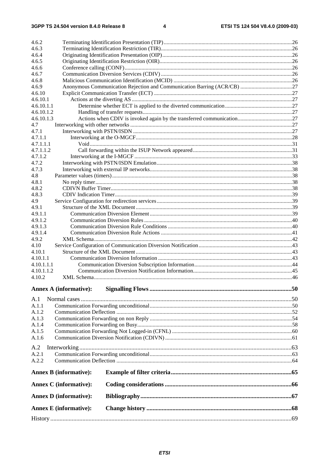| 4.6.2                         |                                                                         |  |
|-------------------------------|-------------------------------------------------------------------------|--|
| 4.6.3                         |                                                                         |  |
| 4.6.4                         |                                                                         |  |
| 4.6.5                         |                                                                         |  |
| 4.6.6                         |                                                                         |  |
| 4.6.7                         |                                                                         |  |
| 4.6.8                         |                                                                         |  |
| 4.6.9                         | Anonymous Communication Rejection and Communication Barring (ACR/CB) 27 |  |
| 4.6.10<br>4.6.10.1            |                                                                         |  |
| 4.6.10.1.1                    |                                                                         |  |
| 4.6.10.1.2                    |                                                                         |  |
| 4.6.10.1.3                    |                                                                         |  |
| 4.7                           |                                                                         |  |
| 4.7.1                         |                                                                         |  |
| 4.7.1.1                       |                                                                         |  |
| 4.7.1.1.1                     |                                                                         |  |
| 4.7.1.1.2                     |                                                                         |  |
| 4.7.1.2                       |                                                                         |  |
| 4.7.2                         |                                                                         |  |
| 4.7.3                         |                                                                         |  |
| 4.8                           |                                                                         |  |
| 4.8.1                         |                                                                         |  |
| 4.8.2                         |                                                                         |  |
| 4.8.3                         |                                                                         |  |
| 4.9                           |                                                                         |  |
| 4.9.1                         |                                                                         |  |
| 4.9.1.1                       |                                                                         |  |
| 4.9.1.2                       |                                                                         |  |
| 4.9.1.3                       |                                                                         |  |
| 4.9.1.4                       |                                                                         |  |
| 4.9.2                         |                                                                         |  |
| 4.10                          |                                                                         |  |
| 4.10.1                        |                                                                         |  |
| 4.10.1.1                      |                                                                         |  |
| 4.10.1.1.1<br>4.10.1.1.2      |                                                                         |  |
| 4.10.2                        |                                                                         |  |
|                               |                                                                         |  |
| <b>Annex A (informative):</b> |                                                                         |  |
| A.1                           |                                                                         |  |
| A.1.1                         |                                                                         |  |
| A.1.2                         |                                                                         |  |
| A.1.3                         |                                                                         |  |
| A.1.4                         |                                                                         |  |
| A.1.5                         |                                                                         |  |
| A.1.6                         |                                                                         |  |
| A.2                           |                                                                         |  |
| A.2.1                         |                                                                         |  |
| A.2.2                         |                                                                         |  |
|                               |                                                                         |  |
| <b>Annex B</b> (informative): |                                                                         |  |
| <b>Annex C</b> (informative): |                                                                         |  |
| <b>Annex D</b> (informative): |                                                                         |  |
| <b>Annex E</b> (informative): |                                                                         |  |
|                               |                                                                         |  |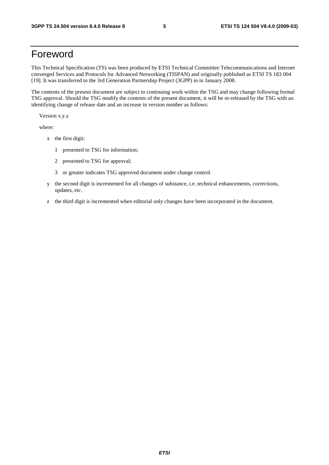## Foreword

This Technical Specification (TS) was been produced by ETSI Technical Committee Telecommunications and Internet converged Services and Protocols for Advanced Networking (TISPAN) and originally published as ETSI TS 183 004 [19]. It was transferred to the 3rd Generation Partnership Project (3GPP) in in January 2008.

The contents of the present document are subject to continuing work within the TSG and may change following formal TSG approval. Should the TSG modify the contents of the present document, it will be re-released by the TSG with an identifying change of release date and an increase in version number as follows:

Version x.y.z

where:

- x the first digit:
	- 1 presented to TSG for information;
	- 2 presented to TSG for approval;
	- 3 or greater indicates TSG approved document under change control.
- y the second digit is incremented for all changes of substance, i.e. technical enhancements, corrections, updates, etc.
- z the third digit is incremented when editorial only changes have been incorporated in the document.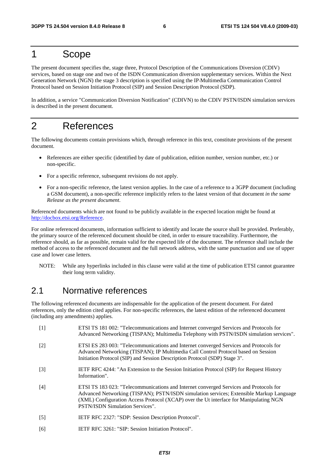## 1 Scope

The present document specifies the, stage three, Protocol Description of the Communications Diversion (CDIV) services, based on stage one and two of the ISDN Communication diversion supplementary services. Within the Next Generation Network (NGN) the stage 3 description is specified using the IP Multimedia Communication Control Protocol based on Session Initiation Protocol (SIP) and Session Description Protocol (SDP).

In addition, a service "Communication Diversion Notification" (CDIVN) to the CDIV PSTN/ISDN simulation services is described in the present document.

## 2 References

The following documents contain provisions which, through reference in this text, constitute provisions of the present document.

- References are either specific (identified by date of publication, edition number, version number, etc.) or non-specific.
- For a specific reference, subsequent revisions do not apply.
- For a non-specific reference, the latest version applies. In the case of a reference to a 3GPP document (including a GSM document), a non-specific reference implicitly refers to the latest version of that document *in the same Release as the present document*.

Referenced documents which are not found to be publicly available in the expected location might be found at http://docbox.etsi.org/Reference.

For online referenced documents, information sufficient to identify and locate the source shall be provided. Preferably, the primary source of the referenced document should be cited, in order to ensure traceability. Furthermore, the reference should, as far as possible, remain valid for the expected life of the document. The reference shall include the method of access to the referenced document and the full network address, with the same punctuation and use of upper case and lower case letters.

NOTE: While any hyperlinks included in this clause were valid at the time of publication ETSI cannot guarantee their long term validity.

### 2.1 Normative references

The following referenced documents are indispensable for the application of the present document. For dated references, only the edition cited applies. For non-specific references, the latest edition of the referenced document (including any amendments) applies.

| $[1]$             | ETSI TS 181 002: "Telecommunications and Internet converged Services and Protocols for<br>Advanced Networking (TISPAN); Multimedia Telephony with PSTN/ISDN simulation services".                                                                                                                             |
|-------------------|---------------------------------------------------------------------------------------------------------------------------------------------------------------------------------------------------------------------------------------------------------------------------------------------------------------|
| $\lceil 2 \rceil$ | ETSI ES 283 003: "Telecommunications and Internet converged Services and Protocols for<br>Advanced Networking (TISPAN); IP Multimedia Call Control Protocol based on Session<br>Initiation Protocol (SIP) and Session Description Protocol (SDP) Stage 3".                                                    |
| $\lceil 3 \rceil$ | IETF RFC 4244: "An Extension to the Session Initiation Protocol (SIP) for Request History<br>Information".                                                                                                                                                                                                    |
| [4]               | ETSI TS 183 023: "Telecommunications and Internet converged Services and Protocols for<br>Advanced Networking (TISPAN); PSTN/ISDN simulation services; Extensible Markup Language<br>(XML) Configuration Access Protocol (XCAP) over the Ut interface for Manipulating NGN<br>PSTN/ISDN Simulation Services". |
| $[5]$             | IETF RFC 2327: "SDP: Session Description Protocol".                                                                                                                                                                                                                                                           |
| [6]               | IETF RFC 3261: "SIP: Session Initiation Protocol".                                                                                                                                                                                                                                                            |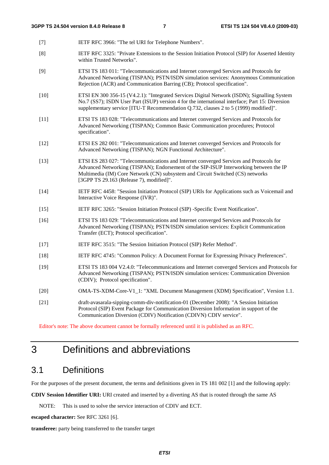- [7] IETF RFC 3966: "The tel URI for Telephone Numbers".
- [8] IETF RFC 3325: "Private Extensions to the Session Initiation Protocol (SIP) for Asserted Identity within Trusted Networks".
- [9] ETSI TS 183 011: "Telecommunications and Internet converged Services and Protocols for Advanced Networking (TISPAN); PSTN/ISDN simulation services: Anonymous Communication Rejection (ACR) and Communication Barring (CB); Protocol specification".
- [10] ETSI EN 300 356-15 (V4.2.1): "Integrated Services Digital Network (ISDN); Signalling System No.7 (SS7); ISDN User Part (ISUP) version 4 for the international interface; Part 15: Diversion supplementary service [ITU-T Recommendation Q.732, clauses 2 to 5 (1999) modified]".
- [11] ETSI TS 183 028: "Telecommunications and Internet converged Services and Protocols for Advanced Networking (TISPAN); Common Basic Communication procedures; Protocol specification".
- [12] ETSI ES 282 001: "Telecommunications and Internet converged Services and Protocols for Advanced Networking (TISPAN); NGN Functional Architecture".
- [13] ETSI ES 283 027: "Telecommunications and Internet converged Services and Protocols for Advanced Networking (TISPAN); Endorsement of the SIP-ISUP Interworking between the IP Multimedia (IM) Core Network (CN) subsystem and Circuit Switched (CS) networks [3GPP TS 29.163 (Release 7), modified]".
- [14] IETF RFC 4458: "Session Initiation Protocol (SIP) URIs for Applications such as Voicemail and Interactive Voice Response (IVR)".
- [15] IETF RFC 3265: "Session Initiation Protocol (SIP) -Specific Event Notification".
- [16] ETSI TS 183 029: "Telecommunications and Internet converged Services and Protocols for Advanced Networking (TISPAN); PSTN/ISDN simulation services: Explicit Communication Transfer (ECT); Protocol specification".
- [17] IETF RFC 3515: "The Session Initiation Protocol (SIP) Refer Method".
- [18] IETF RFC 4745: "Common Policy: A Document Format for Expressing Privacy Preferences".
- [19] ETSI TS 183 004 V2.4.0: "Telecommunications and Internet converged Services and Protocols for Advanced Networking (TISPAN); PSTN/ISDN simulation services: Communication Diversion (CDIV); Protocol specification".
- [20] OMA-TS-XDM-Core-V1\_1: "XML Document Management (XDM) Specification", Version 1.1.
- [21] draft-avasarala-sipping-comm-div-notification-01 (December 2008): "A Session Initiation Protocol (SIP) Event Package for Communication Diversion Information in support of the Communication Diversion (CDIV) Notification (CDIVN) CDIV service".

Editor's note: The above document cannot be formally referenced until it is published as an RFC.

## 3 Definitions and abbreviations

### 3.1 Definitions

For the purposes of the present document, the terms and definitions given in TS 181 002 [1] and the following apply:

**CDIV Session Identifier URI:** URI created and inserted by a diverting AS that is routed through the same AS

NOTE: This is used to solve the service interaction of CDIV and ECT.

**escaped character:** See RFC 3261 [6].

**transferee:** party being transferred to the transfer target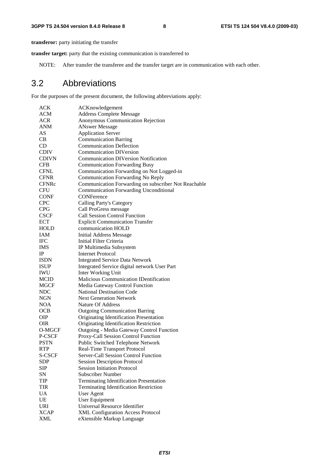**transferor:** party initiating the transfer

**transfer target:** party that the existing communication is transferred to

NOTE: After transfer the transferee and the transfer target are in communication with each other.

### 3.2 Abbreviations

For the purposes of the present document, the following abbreviations apply:

| ACK          | ACKnowledgement                                      |
|--------------|------------------------------------------------------|
| ACM          | <b>Address Complete Message</b>                      |
| <b>ACR</b>   | Anonymous Communication Rejection                    |
| <b>ANM</b>   | <b>ANswer Message</b>                                |
| AS           | <b>Application Server</b>                            |
| CB           | <b>Communication Barring</b>                         |
| CD           | <b>Communication Deflection</b>                      |
| <b>CDIV</b>  | <b>Communication DIVersion</b>                       |
| <b>CDIVN</b> | <b>Communication DIVersion Notification</b>          |
| <b>CFB</b>   | <b>Communication Forwarding Busy</b>                 |
| <b>CFNL</b>  | Communication Forwarding on Not Logged-in            |
| <b>CFNR</b>  | Communication Forwarding No Reply                    |
| <b>CFNRc</b> | Communication Forwarding on subscriber Not Reachable |
| CFU          | <b>Communication Forwarding Unconditional</b>        |
| <b>CONF</b>  | CONFerence                                           |
| <b>CPC</b>   | <b>Calling Party's Category</b>                      |
| <b>CPG</b>   | Call ProGress message                                |
| <b>CSCF</b>  | <b>Call Session Control Function</b>                 |
| <b>ECT</b>   | <b>Explicit Communication Transfer</b>               |
| HOLD         | communication HOLD                                   |
| <b>IAM</b>   | <b>Initial Address Message</b>                       |
| <b>IFC</b>   | Initial Filter Criteria                              |
| <b>IMS</b>   | IP Multimedia Subsystem                              |
| IP.          | <b>Internet Protocol</b>                             |
| <b>ISDN</b>  | <b>Integrated Service Data Network</b>               |
| <b>ISUP</b>  | Integrated Service digital network User Part         |
| <b>IWU</b>   | Inter Working Unit                                   |
| <b>MCID</b>  | Malicious Communication IDentification               |
| MGCF         | Media Gateway Control Function                       |
| <b>NDC</b>   | <b>National Destination Code</b>                     |
| NGN          | <b>Next Generation Network</b>                       |
| <b>NOA</b>   | Nature Of Address                                    |
| <b>OCB</b>   | <b>Outgoing Communication Barring</b>                |
| <b>OIP</b>   | Originating Identification Presentation              |
| OIR          | Originating Identification Restriction               |
| O-MGCF       | Outgoing - Media Gateway Control Function            |
| P-CSCF       | Proxy-Call Session Control Function                  |
| <b>PSTN</b>  | Public Switched Telephone Network                    |
| <b>RTP</b>   | <b>Real-Time Transport Protocol</b>                  |
| S-CSCF       | Server-Call Session Control Function                 |
| <b>SDP</b>   | <b>Session Description Protocol</b>                  |
| <b>SIP</b>   | <b>Session Initiation Protocol</b>                   |
| SN           | <b>Subscriber Number</b>                             |
| TIP          | <b>Terminating Identification Presentation</b>       |
| <b>TIR</b>   | <b>Terminating Identification Restriction</b>        |
| <b>UA</b>    | User Agent                                           |
| UE           | <b>User Equipment</b>                                |
| URI          | Universal Resource Identifier                        |
| <b>XCAP</b>  | XML Configuration Access Protocol                    |
| XML          | eXtensible Markup Language                           |
|              |                                                      |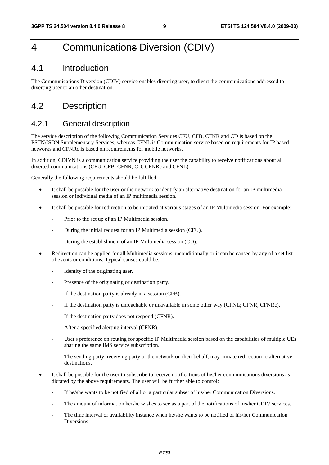## 4 Communications Diversion (CDIV)

### 4.1 Introduction

The Communications Diversion (CDIV) service enables diverting user, to divert the communications addressed to diverting user to an other destination.

### 4.2 Description

### 4.2.1 General description

The service description of the following Communication Services CFU, CFB, CFNR and CD is based on the PSTN/ISDN Supplementary Services, whereas CFNL is Communication service based on requirements for IP based networks and CFNRc is based on requirements for mobile networks.

In addition, CDIVN is a communication service providing the user the capability to receive notifications about all diverted communications (CFU, CFB, CFNR, CD, CFNRc and CFNL).

Generally the following requirements should be fulfilled:

- It shall be possible for the user or the network to identify an alternative destination for an IP multimedia session or individual media of an IP multimedia session.
- It shall be possible for redirection to be initiated at various stages of an IP Multimedia session. For example:
	- Prior to the set up of an IP Multimedia session.
	- During the initial request for an IP Multimedia session (CFU).
	- During the establishment of an IP Multimedia session (CD).
- Redirection can be applied for all Multimedia sessions unconditionally or it can be caused by any of a set list of events or conditions. Typical causes could be:
	- Identity of the originating user.
	- Presence of the originating or destination party.
	- If the destination party is already in a session (CFB).
	- If the destination party is unreachable or unavailable in some other way (CFNL; CFNR, CFNRc).
	- If the destination party does not respond (CFNR).
	- After a specified alerting interval (CFNR).
	- User's preference on routing for specific IP Multimedia session based on the capabilities of multiple UEs sharing the same IMS service subscription.
	- The sending party, receiving party or the network on their behalf, may initiate redirection to alternative destinations.
- It shall be possible for the user to subscribe to receive notifications of his/her communications diversions as dictated by the above requirements. The user will be further able to control:
	- If he/she wants to be notified of all or a particular subset of his/her Communication Diversions.
	- The amount of information he/she wishes to see as a part of the notifications of his/her CDIV services.
	- The time interval or availability instance when he/she wants to be notified of his/her Communication Diversions.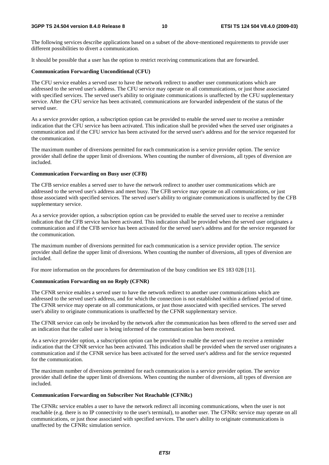The following services describe applications based on a subset of the above-mentioned requirements to provide user different possibilities to divert a communication.

It should be possible that a user has the option to restrict receiving communications that are forwarded.

### **Communication Forwarding Unconditional (CFU)**

The CFU service enables a served user to have the network redirect to another user communications which are addressed to the served user's address. The CFU service may operate on all communications, or just those associated with specified services. The served user's ability to originate communications is unaffected by the CFU supplementary service. After the CFU service has been activated, communications are forwarded independent of the status of the served user.

As a service provider option, a subscription option can be provided to enable the served user to receive a reminder indication that the CFU service has been activated. This indication shall be provided when the served user originates a communication and if the CFU service has been activated for the served user's address and for the service requested for the communication.

The maximum number of diversions permitted for each communication is a service provider option. The service provider shall define the upper limit of diversions. When counting the number of diversions, all types of diversion are included.

### **Communication Forwarding on Busy user (CFB)**

The CFB service enables a served user to have the network redirect to another user communications which are addressed to the served user's address and meet busy. The CFB service may operate on all communications, or just those associated with specified services. The served user's ability to originate communications is unaffected by the CFB supplementary service.

As a service provider option, a subscription option can be provided to enable the served user to receive a reminder indication that the CFB service has been activated. This indication shall be provided when the served user originates a communication and if the CFB service has been activated for the served user's address and for the service requested for the communication.

The maximum number of diversions permitted for each communication is a service provider option. The service provider shall define the upper limit of diversions. When counting the number of diversions, all types of diversion are included.

For more information on the procedures for determination of the busy condition see ES 183 028 [11].

### **Communication Forwarding on no Reply (CFNR)**

The CFNR service enables a served user to have the network redirect to another user communications which are addressed to the served user's address, and for which the connection is not established within a defined period of time. The CFNR service may operate on all communications, or just those associated with specified services. The served user's ability to originate communications is unaffected by the CFNR supplementary service.

The CFNR service can only be invoked by the network after the communication has been offered to the served user and an indication that the called user is being informed of the communication has been received.

As a service provider option, a subscription option can be provided to enable the served user to receive a reminder indication that the CFNR service has been activated. This indication shall be provided when the served user originates a communication and if the CFNR service has been activated for the served user's address and for the service requested for the communication.

The maximum number of diversions permitted for each communication is a service provider option. The service provider shall define the upper limit of diversions. When counting the number of diversions, all types of diversion are included.

### **Communication Forwarding on Subscriber Not Reachable (CFNRc)**

The CFNRc service enables a user to have the network redirect all incoming communications, when the user is not reachable (e.g. there is no IP connectivity to the user's terminal), to another user. The CFNRc service may operate on all communications, or just those associated with specified services. The user's ability to originate communications is unaffected by the CFNRc simulation service.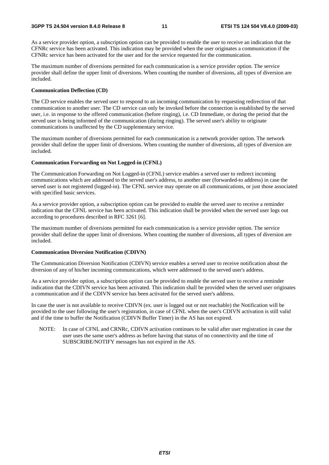As a service provider option, a subscription option can be provided to enable the user to receive an indication that the CFNRc service has been activated. This indication may be provided when the user originates a communication if the CFNRc service has been activated for the user and for the service requested for the communication.

The maximum number of diversions permitted for each communication is a service provider option. The service provider shall define the upper limit of diversions. When counting the number of diversions, all types of diversion are included.

#### **Communication Deflection (CD)**

The CD service enables the served user to respond to an incoming communication by requesting redirection of that communication to another user. The CD service can only be invoked before the connection is established by the served user, i.e. in response to the offered communication (before ringing), i.e. CD Immediate, or during the period that the served user is being informed of the communication (during ringing). The served user's ability to originate communications is unaffected by the CD supplementary service.

The maximum number of diversions permitted for each communication is a network provider option. The network provider shall define the upper limit of diversions. When counting the number of diversions, all types of diversion are included.

#### **Communication Forwarding on Not Logged-in (CFNL)**

The Communication Forwarding on Not Logged-in (CFNL) service enables a served user to redirect incoming communications which are addressed to the served user's address, to another user (forwarded-to address) in case the served user is not registered (logged-in). The CFNL service may operate on all communications, or just those associated with specified basic services.

As a service provider option, a subscription option can be provided to enable the served user to receive a reminder indication that the CFNL service has been activated. This indication shall be provided when the served user logs out according to procedures described in RFC 3261 [6].

The maximum number of diversions permitted for each communication is a service provider option. The service provider shall define the upper limit of diversions. When counting the number of diversions, all types of diversion are included.

#### **Communication Diversion Notification (CDIVN)**

The Communication Diversion Notification (CDIVN) service enables a served user to receive notification about the diversion of any of his/her incoming communications, which were addressed to the served user's address.

As a service provider option, a subscription option can be provided to enable the served user to receive a reminder indication that the CDIVN service has been activated. This indication shall be provided when the served user originates a communication and if the CDIVN service has been activated for the served user's address.

In case the user is not available to receive CDIVN (ex. user is logged out or not reachable) the Notification will be provided to the user following the user's registration, in case of CFNL when the user's CDIVN activation is still valid and if the time to buffer the Notification (CDIVN Buffer Timer) in the AS has not expired.

NOTE: In case of CFNL and CRNRc, CDIVN activation continues to be valid after user registration in case the user uses the same user's address as before having that status of no connectivity and the time of SUBSCRIBE/NOTIFY messages has not expired in the AS.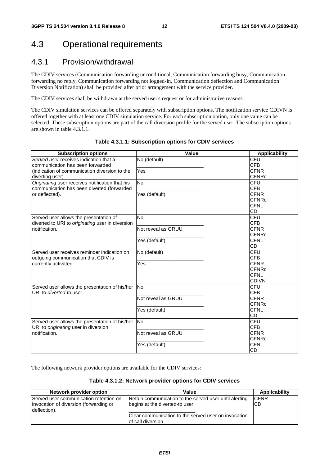## 4.3 Operational requirements

### 4.3.1 Provision/withdrawal

The CDIV services (Communication forwarding unconditional, Communication forwarding busy, Communication forwarding no reply, Communication forwarding not logged-in, Communication deflection and Communication Diversion Notification) shall be provided after prior arrangement with the service provider.

The CDIV services shall be withdrawn at the served user's request or for administrative reasons.

The CDIV simulation services can be offered separately with subscription options. The notification service CDIVN is offered together with at least one CDIV simulation service. For each subscription option, only one value can be selected. These subscription options are part of the call diversion profile for the served user. The subscription options are shown in table 4.3.1.1.

| <b>Subscription options</b>                      | Value              | <b>Applicability</b> |
|--------------------------------------------------|--------------------|----------------------|
| Served user receives indication that a           | No (default)       | CFU                  |
| communication has been forwarded                 |                    | <b>CFB</b>           |
| (indication of communication diversion to the    | Yes                | <b>CFNR</b>          |
| diverting user).                                 |                    | <b>CFNRc</b>         |
| Originating user receives notification that his  | <b>No</b>          | CFU                  |
| communication has been diverted (forwarded       |                    | <b>CFB</b>           |
| or deflected).                                   | Yes (default)      | <b>CFNR</b>          |
|                                                  |                    | <b>CFNRc</b>         |
|                                                  |                    | <b>CFNL</b>          |
|                                                  |                    | CD                   |
| Served user allows the presentation of           | <b>No</b>          | CFU                  |
| diverted to URI to originating user in diversion |                    | <b>CFB</b>           |
| notification.                                    | Not reveal as GRUU | <b>CFNR</b>          |
|                                                  |                    | <b>CFNRc</b>         |
|                                                  | Yes (default)      | <b>CFNL</b>          |
|                                                  |                    | CD                   |
| Served user receives reminder indication on      | No (default)       | CFU                  |
| outgoing communication that CDIV is              |                    | <b>CFB</b>           |
| currently activated.                             | Yes                | <b>CFNR</b>          |
|                                                  |                    | <b>CFNRc</b>         |
|                                                  |                    | <b>CFNL</b>          |
|                                                  |                    | <b>CDIVN</b>         |
| Served user allows the presentation of his/her   | <b>No</b>          | CFU                  |
| URI to <i>diverted-to</i> user.                  |                    | <b>CFB</b>           |
|                                                  | Not reveal as GRUU | <b>CFNR</b>          |
|                                                  |                    | <b>CFNRc</b>         |
|                                                  | Yes (default)      | <b>CFNL</b>          |
|                                                  |                    | CD                   |
| Served user allows the presentation of his/her   | <b>No</b>          | CFU                  |
| URI to originating user in diversion             |                    | <b>CFB</b>           |
| notification.                                    | Not reveal as GRUU | <b>CFNR</b>          |
|                                                  |                    | <b>CFNRc</b>         |
|                                                  | Yes (default)      | <b>CFNL</b>          |
|                                                  |                    | CD                   |

### **Table 4.3.1.1: Subscription options for CDIV services**

The following network provider options are available for the CDIV services:

#### **Table 4.3.1.2: Network provider options for CDIV services**

| Network provider option                                                                          | Value                                                                                    | Applicability       |
|--------------------------------------------------------------------------------------------------|------------------------------------------------------------------------------------------|---------------------|
| Served user communication retention on<br>invocation of diversion (forwarding or<br>deflection). | Retain communication to the served user until alerting<br>begins at the diverted-to user | <b>ICFNR</b><br>CD. |
|                                                                                                  | Clear communication to the served user on invocation<br>lof call diversion               |                     |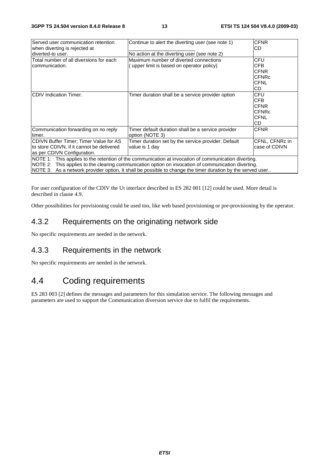| Served user communication retention                                                                        | Continue to alert the diverting user (see note 1)   | <b>CFNR</b>    |  |  |  |
|------------------------------------------------------------------------------------------------------------|-----------------------------------------------------|----------------|--|--|--|
| when diverting is rejected at<br>diverted-to user.                                                         |                                                     | CD             |  |  |  |
|                                                                                                            | No action at the diverting user (see note 2)        |                |  |  |  |
| Total number of all diversions for each                                                                    | Maximum number of diverted connections              | CFU            |  |  |  |
| communication.                                                                                             | upper limit is based on operator policy)            | CFB            |  |  |  |
|                                                                                                            |                                                     | <b>CFNR</b>    |  |  |  |
|                                                                                                            |                                                     | <b>CFNRc</b>   |  |  |  |
|                                                                                                            |                                                     | <b>CFNL</b>    |  |  |  |
|                                                                                                            |                                                     | CD.            |  |  |  |
| <b>CDIV</b> Indication Timer.                                                                              | Timer duration shall be a service provider option   | CFU            |  |  |  |
|                                                                                                            |                                                     | CFB            |  |  |  |
|                                                                                                            |                                                     | <b>CFNR</b>    |  |  |  |
|                                                                                                            |                                                     | <b>CFNRc</b>   |  |  |  |
|                                                                                                            |                                                     | <b>CFNL</b>    |  |  |  |
|                                                                                                            |                                                     | CD.            |  |  |  |
| Communication forwarding on no reply                                                                       | Timer default duration shall be a service provider  | <b>CFNR</b>    |  |  |  |
| timer.                                                                                                     | option (NOTE 3)                                     |                |  |  |  |
| CDIVN Buffer Timer; Timer Value for AS                                                                     | Timer duration set by the service provider. Default | CFNL, CFNRc in |  |  |  |
| to store CDIVN, if it cannot be delivered                                                                  | value is 1 day                                      | case of CDIVN  |  |  |  |
| as per CDIVN Configuration.                                                                                |                                                     |                |  |  |  |
| NOTE 1: This applies to the retention of the communication at invocation of communication diverting.       |                                                     |                |  |  |  |
| NOTE 2: This applies to the clearing communication option on invocation of communication diverting.        |                                                     |                |  |  |  |
| NOTE 3: As a network provider option, It shall be possible to change the timer duration by the served user |                                                     |                |  |  |  |

For user configuration of the CDIV the Ut interface described in ES 282 001 [12] could be used. More detail is described in clause 4.9.

Other possibilities for provisioning could be used too, like web based provisioning or pre-provisioning by the operator.

### 4.3.2 Requirements on the originating network side

No specific requirements are needed in the network.

### 4.3.3 Requirements in the network

No specific requirements are needed in the network.

## 4.4 Coding requirements

ES 283 003 [2] defines the messages and parameters for this simulation service. The following messages and parameters are used to support the Communication diversion service due to fulfil the requirements.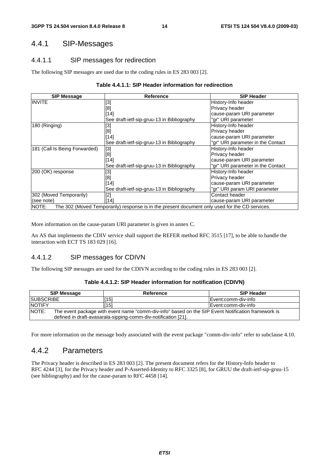### 4.4.1 SIP-Messages

### 4.4.1.1 SIP messages for redirection

The following SIP messages are used due to the coding rules in ES 283 003 [2].

#### **Table 4.4.1.1: SIP Header information for redirection**

| <b>SIP Message</b>                                                                                      | <b>Reference</b>                           | <b>SIP Header</b>                 |  |  |  |
|---------------------------------------------------------------------------------------------------------|--------------------------------------------|-----------------------------------|--|--|--|
| <b>INVITE</b>                                                                                           | [3]                                        | History-Info header               |  |  |  |
|                                                                                                         | [8]                                        | Privacy header                    |  |  |  |
|                                                                                                         | $[14]$                                     | cause-param URI parameter         |  |  |  |
|                                                                                                         | See draft-ietf-sip-gruu-13 in Bibliography | "gr" URI parameter                |  |  |  |
| 180 (Ringing)                                                                                           | [3]                                        | History-Info header               |  |  |  |
|                                                                                                         | [8]                                        | Privacy header                    |  |  |  |
|                                                                                                         | [14]                                       | cause-param URI parameter         |  |  |  |
|                                                                                                         | See draft-ietf-sip-gruu-13 in Bibliography | "gr" URI parameter in the Contact |  |  |  |
| 181 (Call Is Being Forwarded)                                                                           | $[3]$                                      | History-Info header               |  |  |  |
|                                                                                                         | [8]                                        | Privacy header                    |  |  |  |
|                                                                                                         | [14]                                       | cause-param URI parameter         |  |  |  |
|                                                                                                         | See draft-ietf-sip-gruu-13 in Bibliography | 'gr" URI parameter in the Contact |  |  |  |
| 200 (OK) response                                                                                       | [3]                                        | History-Info header               |  |  |  |
|                                                                                                         | [8]                                        | Privacy header                    |  |  |  |
|                                                                                                         | [14]                                       | cause-param URI parameter         |  |  |  |
|                                                                                                         | See draft-ietf-sip-gruu-13 in Bibliography | "gr" URI param URI parameter      |  |  |  |
| 302 (Moved Temporarily)                                                                                 | $[2]$                                      | Contact header                    |  |  |  |
| (see note)                                                                                              | [14]                                       | cause-param URI parameter         |  |  |  |
| NOTE:<br>The 302 (Moved Temporarily) response is in the present document only used for the CD services. |                                            |                                   |  |  |  |

More information on the cause-param URI parameter is given in annex C.

An AS that implements the CDIV service shall support the REFER method RFC 3515 [17], to be able to handle the interaction with ECT TS 183 029 [16].

### 4.4.1.2 SIP messages for CDIVN

The following SIP messages are used for the CDIVN according to the coding rules in ES 283 003 [2].

#### **Table 4.4.1.2: SIP Header information for notification (CDIVN)**

|                   | <b>SIP Message</b> | Reference                                                                                                                                                            | <b>SIP Header</b>    |  |  |
|-------------------|--------------------|----------------------------------------------------------------------------------------------------------------------------------------------------------------------|----------------------|--|--|
| <b>ISUBSCRIBE</b> |                    | [15]                                                                                                                                                                 | IEvent:comm-div-info |  |  |
| <b>NOTIFY</b>     |                    | [15]                                                                                                                                                                 | IEvent:comm-div-info |  |  |
| NOTE:             |                    | The event package with event name "comm-div-info" based on the SIP Event Notification framework is<br>defined in draft-avasarala-sipping-comm-div-notification [21]. |                      |  |  |

For more information on the message body associated with the event package "comm-div-info" refer to subclause 4.10.

### 4.4.2 Parameters

The Privacy header is described in ES 283 003 [2]. The present document refers for the History-Info header to RFC 4244 [3], for the Privacy header and P-Asserted-Identity to RFC 3325 [8], for GRUU the draft-ietf-sip-gruu-15 (see bibliography) and for the cause-param to RFC 4458 [14].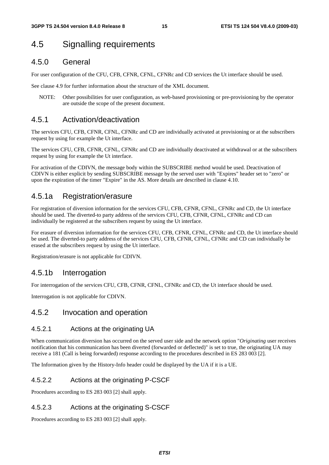## 4.5 Signalling requirements

### 4.5.0 General

For user configuration of the CFU, CFB, CFNR, CFNL, CFNRc and CD services the Ut interface should be used.

See clause 4.9 for further information about the structure of the XML document.

NOTE: Other possibilities for user configuration, as web-based provisioning or pre-provisioning by the operator are outside the scope of the present document.

### 4.5.1 Activation/deactivation

The services CFU, CFB, CFNR, CFNL, CFNRc and CD are individually activated at provisioning or at the subscribers request by using for example the Ut interface.

The services CFU, CFB, CFNR, CFNL, CFNRc and CD are individually deactivated at withdrawal or at the subscribers request by using for example the Ut interface.

For activation of the CDIVN, the message body within the SUBSCRIBE method would be used. Deactivation of CDIVN is either explicit by sending SUBSCRIBE message by the served user with "Expires" header set to "zero" or upon the expiration of the timer "Expire" in the AS. More details are described in clause 4.10.

### 4.5.1a Registration/erasure

For registration of diversion information for the services CFU, CFB, CFNR, CFNL, CFNRc and CD, the Ut interface should be used. The diverted-to party address of the services CFU, CFB, CFNR, CFNL, CFNRc and CD can individually be registered at the subscribers request by using the Ut interface.

For erasure of diversion information for the services CFU, CFB, CFNR, CFNL, CFNRc and CD, the Ut interface should be used. The diverted-to party address of the services CFU, CFB, CFNR, CFNL, CFNRc and CD can individually be erased at the subscribers request by using the Ut interface.

Registration/erasure is not applicable for CDIVN.

### 4.5.1b Interrogation

For interrogation of the services CFU, CFB, CFNR, CFNL, CFNRc and CD, the Ut interface should be used.

Interrogation is not applicable for CDIVN.

### 4.5.2 Invocation and operation

### 4.5.2.1 Actions at the originating UA

When communication diversion has occurred on the served user side and the network option "*Originating* user receives notification that his communication has been diverted (forwarded or deflected)" is set to true, the originating UA may receive a 181 (Call is being forwarded) response according to the procedures described in ES 283 003 [2].

The Information given by the History-Info header could be displayed by the UA if it is a UE.

### 4.5.2.2 Actions at the originating P-CSCF

Procedures according to ES 283 003 [2] shall apply.

### 4.5.2.3 Actions at the originating S-CSCF

Procedures according to ES 283 003 [2] shall apply.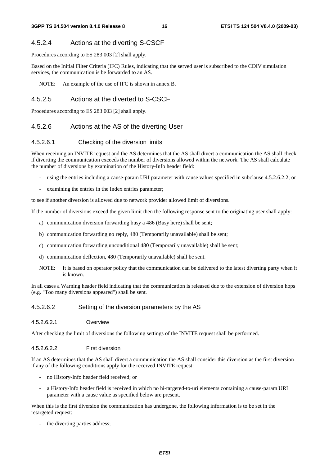### 4.5.2.4 Actions at the diverting S-CSCF

Procedures according to ES 283 003 [2] shall apply.

Based on the Initial Filter Criteria (IFC) Rules, indicating that the served user is subscribed to the CDIV simulation services, the communication is be forwarded to an AS.

NOTE: An example of the use of IFC is shown in annex B.

### 4.5.2.5 Actions at the diverted to S-CSCF

Procedures according to ES 283 003 [2] shall apply.

### 4.5.2.6 Actions at the AS of the diverting User

### 4.5.2.6.1 Checking of the diversion limits

When receiving an INVITE request and the AS determines that the AS shall divert a communication the AS shall check if diverting the communication exceeds the number of diversions allowed within the network. The AS shall calculate the number of diversions by examination of the History-Info header field:

- using the entries including a cause-param URI parameter with cause values specified in subclause 4.5.2.6.2.2; or
- examining the entries in the Index entries parameter;

to see if another diversion is allowed due to network provider allowed limit of diversions.

If the number of diversions exceed the given limit then the following response sent to the originating user shall apply:

- a) communication diversion forwarding busy a 486 (Busy here) shall be sent;
- b) communication forwarding no reply, 480 (Temporarily unavailable) shall be sent;
- c) communication forwarding unconditional 480 (Temporarily unavailable) shall be sent;
- d) communication deflection, 480 (Temporarily unavailable) shall be sent.
- NOTE: It is based on operator policy that the communication can be delivered to the latest diverting party when it is known.

In all cases a Warning header field indicating that the communication is released due to the extension of diversion hops (e.g. "Too many diversions appeared") shall be sent.

#### 4.5.2.6.2 Setting of the diversion parameters by the AS

4.5.2.6.2.1 Overview

After checking the limit of diversions the following settings of the INVITE request shall be performed.

#### 4.5.2.6.2.2 First diversion

If an AS determines that the AS shall divert a communication the AS shall consider this diversion as the first diversion if any of the following conditions apply for the received INVITE request:

- no History-Info header field received; or
- a History-Info header field is received in which no hi-targeted-to-uri elements containing a cause-param URI parameter with a cause value as specified below are present.

When this is the first diversion the communication has undergone, the following information is to be set in the retargeted request:

the diverting parties address;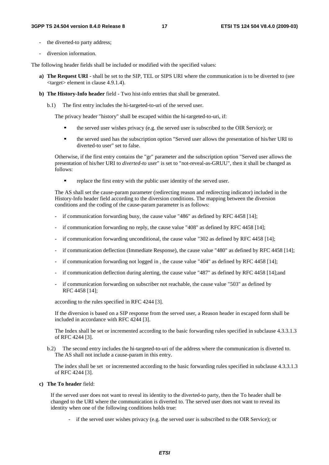- the diverted-to party address;
- diversion information.

The following header fields shall be included or modified with the specified values:

- **a) The Request URI**  shall be set to the SIP, TEL or SIPS URI where the communication is to be diverted to (see <target> element in clause 4.9.1.4).
- **b) The History-Info header** field Two hist-info entries that shall be generated.
	- b.1) The first entry includes the hi-targeted-to-uri of the served user.

The privacy header "history" shall be escaped within the hi-targeted-to-uri, if:

- the served user wishes privacy (e.g. the served user is subscribed to the OIR Service); or
- the served used has the subscription option "Served user allows the presentation of his/her URI to diverted-to user" set to false.

 Otherwise, if the first entry contains the "gr" parameter and the subscription option "Served user allows the presentation of his/her URI to *diverted-to* user" is set to "not-reveal-as-GRUU", then it shall be changed as follows:

replace the first entry with the public user identity of the served user.

 The AS shall set the cause-param parameter (redirecting reason and redirecting indicator) included in the History-Info header field according to the diversion conditions. The mapping between the diversion conditions and the coding of the cause-param parameter is as follows:

- if communication forwarding busy, the cause value "486" as defined by RFC 4458 [14];
- if communication forwarding no reply, the cause value "408" as defined by RFC 4458  $[14]$ ;
- if communication forwarding unconditional, the cause value "302 as defined by RFC 4458 [14];
- if communication deflection (Immediate Response), the cause value "480" as defined by RFC 4458 [14];
- if communication forwarding not logged in , the cause value "404" as defined by RFC 4458 [14];
- if communication deflection during alerting, the cause value "487" as defined by RFC 4458 [14];and
- if communication forwarding on subscriber not reachable, the cause value "503" as defined by RFC 4458 [14];

according to the rules specified in RFC 4244 [3].

 If the diversion is based on a SIP response from the served user, a Reason header in escaped form shall be included in accordance with RFC 4244 [3].

 The Index shall be set or incremented according to the basic forwarding rules specified in subclause 4.3.3.1.3 of RFC 4244 [3].

b.2) The second entry includes the hi-targeted-to-uri of the address where the communication is diverted to. The AS shall not include a cause-param in this entry.

 The index shall be set or incremented according to the basic forwarding rules specified in subclause 4.3.3.1.3 of RFC 4244 [3].

#### **c) The To header** field:

If the served user does not want to reveal its identity to the diverted-to party, then the To header shall be changed to the URI where the communication is diverted to. The served user does not want to reveal its identity when one of the following conditions holds true:

- if the served user wishes privacy (e.g. the served user is subscribed to the OIR Service); or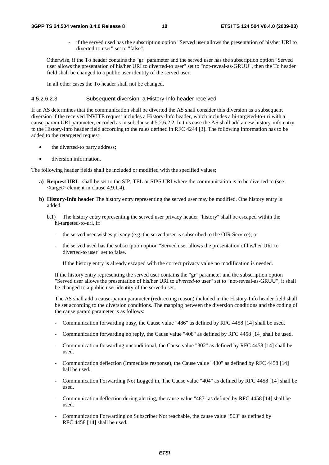#### **3GPP TS 24.504 version 8.4.0 Release 8 18 ETSI TS 124 504 V8.4.0 (2009-03)**

- if the served used has the subscription option "Served user allows the presentation of his/her URI to diverted-to user" set to "false".

Otherwise, if the To header contains the "gr" parameter and the served user has the subscription option "Served user allows the presentation of his/her URI to diverted-to user" set to "not-reveal-as-GRUU", then the To header field shall be changed to a public user identity of the served user.

In all other cases the To header shall not be changed.

#### 4.5.2.6.2.3 Subsequent diversion; a History-Info header received

If an AS determines that the communication shall be diverted the AS shall consider this diversion as a subsequent diversion if the received INVITE request includes a History-Info header, which includes a hi-targeted-to-uri with a cause-param URI parameter, encoded as in subclause 4.5.2.6.2.2. In this case the AS shall add a new history-info entry to the History-Info header field according to the rules defined in RFC 4244 [3]. The following information has to be added to the retargeted request:

- the diverted-to party address;
- diversion information.

The following header fields shall be included or modified with the specified values;

- **a) Request URI** shall be set to the SIP, TEL or SIPS URI where the communication is to be diverted to (see <target> element in clause 4.9.1.4).
- **b) History-Info header** The history entry representing the served user may be modified. One history entry is added.
	- b.1) The history entry representing the served user privacy header "history" shall be escaped within the hi-targeted-to-uri, if:
		- the served user wishes privacy (e.g. the served user is subscribed to the OIR Service); or
		- the served used has the subscription option "Served user allows the presentation of his/her URI to diverted-to user" set to false.

If the history entry is already escaped with the correct privacy value no modification is needed.

 If the history entry representing the served user contains the "gr" parameter and the subscription option "Served user allows the presentation of his/her URI to *diverted-to* user" set to "not-reveal-as-GRUU", it shall be changed to a public user identity of the served user.

 The AS shall add a cause-param parameter (redirecting reason) included in the History-Info header field shall be set according to the diversion conditions. The mapping between the diversion conditions and the coding of the cause param parameter is as follows:

- Communication forwarding busy, the Cause value "486" as defined by RFC 4458 [14] shall be used.
- Communication forwarding no reply, the Cause value "408" as defined by RFC 4458 [14] shall be used.
- Communication forwarding unconditional, the Cause value "302" as defined by RFC 4458 [14] shall be used.
- Communication deflection (Immediate response), the Cause value "480" as defined by RFC 4458 [14] hall be used.
- Communication Forwarding Not Logged in, The Cause value "404" as defined by RFC 4458 [14] shall be used.
- Communication deflection during alerting, the cause value "487" as defined by RFC 4458 [14] shall be used.
- Communication Forwarding on Subscriber Not reachable, the cause value "503" as defined by RFC 4458 [14] shall be used.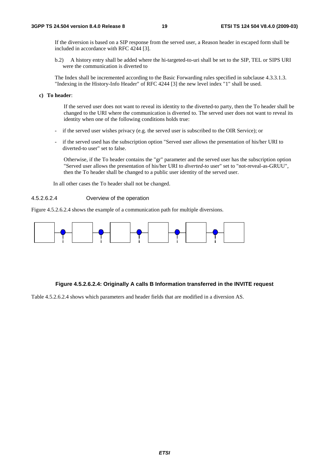If the diversion is based on a SIP response from the served user, a Reason header in escaped form shall be included in accordance with RFC 4244 [3].

b.2) A history entry shall be added where the hi-targeted-to-uri shall be set to the SIP, TEL or SIPS URI were the communication is diverted to

 The Index shall be incremented according to the Basic Forwarding rules specified in subclause 4.3.3.1.3. "Indexing in the History-Info Header" of RFC 4244 [3] the new level index "1" shall be used.

#### **c) To header**:

 If the served user does not want to reveal its identity to the diverted-to party, then the To header shall be changed to the URI where the communication is diverted to. The served user does not want to reveal its identity when one of the following conditions holds true:

- if the served user wishes privacy (e.g. the served user is subscribed to the OIR Service); or
- if the served used has the subscription option "Served user allows the presentation of his/her URI to diverted-to user" set to false.

 Otherwise, if the To header contains the "gr" parameter and the served user has the subscription option "Served user allows the presentation of his/her URI to *diverted-to* user" set to "not-reveal-as-GRUU", then the To header shall be changed to a public user identity of the served user.

In all other cases the To header shall not be changed.

#### 4.5.2.6.2.4 Overview of the operation

Figure 4.5.2.6.2.4 shows the example of a communication path for multiple diversions.



#### **Figure 4.5.2.6.2.4: Originally A calls B Information transferred in the INVITE request**

Table 4.5.2.6.2.4 shows which parameters and header fields that are modified in a diversion AS.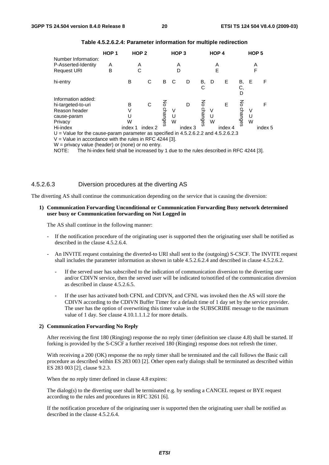|                                                                                                                                                                | HOP <sub>1</sub> |         | HOP <sub>2</sub> |              |             | HOP <sub>3</sub> |                  |        | HOP <sub>4</sub> |               |             | HOP <sub>5</sub> |
|----------------------------------------------------------------------------------------------------------------------------------------------------------------|------------------|---------|------------------|--------------|-------------|------------------|------------------|--------|------------------|---------------|-------------|------------------|
| Number Information:<br>P-Asserted-Identity<br><b>Request URI</b>                                                                                               | A<br>В           |         | A<br>С           |              |             | А<br>D           |                  |        | Α<br>E           |               |             | Α<br>F           |
| hi-entry                                                                                                                                                       |                  | В       | С                | B            |             | D                | В,<br>С          | D      | Е                | В,<br>С,<br>D | Е           | F                |
| Information added:<br>hi-targeted-to-uri<br>Reason header<br>cause-param<br>Privacy                                                                            |                  | В<br>W  | C                | 중<br>changes | V<br>U<br>W | D                | 중<br>chan<br>မွေ | V<br>W | E                | 공<br>changes  | V<br>U<br>W | F                |
| Hi-index<br>$U =$ Value for the cause-param parameter as specified in 4.5.2.6.2.2 and 4.5.2.6.2.3<br>$V =$ Value in accordance with the rules in RFC 4244 [3]. |                  | index 1 | index 2          |              |             | index 3          |                  |        | index 4          |               |             | index 5          |

| Table 4.5.2.6.2.4: Parameter information for multiple redirection |  |  |  |  |
|-------------------------------------------------------------------|--|--|--|--|
|-------------------------------------------------------------------|--|--|--|--|

W = privacy value (header) or (none) or no entry.

NOTE: The hi-index field shall be increased by 1 due to the rules described in RFC 4244 [3].

#### 4.5.2.6.3 Diversion procedures at the diverting AS

The diverting AS shall continue the communication depending on the service that is causing the diversion:

#### **1) Communication Forwarding Unconditional or Communication Forwarding Busy network determined user busy or Communication forwarding on Not Logged in**

The AS shall continue in the following manner:

- If the notification procedure of the originating user is supported then the originating user shall be notified as described in the clause 4.5.2.6.4.
- An INVITE request containing the diverted-to URI shall sent to the (outgoing) S-CSCF. The INVITE request shall includes the parameter information as shown in table 4.5.2.6.2.4 and described in clause 4.5.2.6.2.
	- If the served user has subscribed to the indication of communication diversion to the diverting user and/or CDIVN service, then the served user will be indicated to/notified of the communication diversion as described in clause 4.5.2.6.5.
	- If the user has activated both CFNL and CDIVN, and CFNL was invoked then the AS will store the CDIVN according to the CDIVN Buffer Timer for a default time of 1 day set by the service provider. The user has the option of overwriting this timer value in the SUBSCRIBE message to the maximum value of 1 day. See clause 4.10.1.1.1.2 for more details.

#### **2) Communication Forwarding No Reply**

 After receiving the first 180 (Ringing) response the no reply timer (definition see clause 4.8) shall be started. If forking is provided by the S-CSCF a further received 180 (Ringing) response does not refresh the timer.

With receiving a 200 (OK) response the no reply timer shall be terminated and the call follows the Basic call procedure as described within ES 283 003 [2]. Other open early dialogs shall be terminated as described within ES 283 003 [2], clause 9.2.3.

When the no reply timer defined in clause 4.8 expires:

 The dialog(s) to the diverting user shall be terminated e.g. by sending a CANCEL request or BYE request according to the rules and procedures in RFC 3261 [6].

 If the notification procedure of the originating user is supported then the originating user shall be notified as described in the clause 4.5.2.6.4.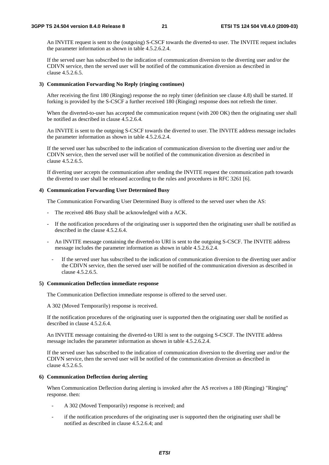An INVITE request is sent to the (outgoing) S-CSCF towards the diverted-to user. The INVITE request includes the parameter information as shown in table 4.5.2.6.2.4.

If the served user has subscribed to the indication of communication diversion to the diverting user and/or the CDIVN service, then the served user will be notified of the communication diversion as described in clause 4.5.2.6.5.

#### **3) Communication Forwarding No Reply (ringing continues)**

 After receiving the first 180 (Ringing) response the no reply timer (definition see clause 4.8) shall be started. If forking is provided by the S-CSCF a further received 180 (Ringing) response does not refresh the timer.

When the diverted-to-user has accepted the communication request (with 200 OK) then the originating user shall be notified as described in clause 4.5.2.6.4.

 An INVITE is sent to the outgoing S-CSCF towards the diverted to user. The INVITE address message includes the parameter information as shown in table 4.5.2.6.2.4.

If the served user has subscribed to the indication of communication diversion to the diverting user and/or the CDIVN service, then the served user will be notified of the communication diversion as described in clause 4.5.2.6.5.

 If diverting user accepts the communication after sending the INVITE request the communication path towards the diverted to user shall be released according to the rules and procedures in RFC 3261 [6].

#### **4) Communication Forwarding User Determined Busy**

The Communication Forwarding User Determined Busy is offered to the served user when the AS:

- The received 486 Busy shall be acknowledged with a ACK.
- If the notification procedures of the originating user is supported then the originating user shall be notified as described in the clause 4.5.2.6.4.
- An INVITE message containing the diverted-to URI is sent to the outgoing S-CSCF. The INVITE address message includes the parameter information as shown in table 4.5.2.6.2.4.
	- If the served user has subscribed to the indication of communication diversion to the diverting user and/or the CDIVN service, then the served user will be notified of the communication diversion as described in clause 4.5.2.6.5.

#### **5) Communication Deflection immediate response**

The Communication Deflection immediate response is offered to the served user.

A 302 (Moved Temporarily) response is received.

 If the notification procedures of the originating user is supported then the originating user shall be notified as described in clause 4.5.2.6.4.

 An INVITE message containing the diverted-to URI is sent to the outgoing S-CSCF. The INVITE address message includes the parameter information as shown in table 4.5.2.6.2.4.

If the served user has subscribed to the indication of communication diversion to the diverting user and/or the CDIVN service, then the served user will be notified of the communication diversion as described in clause 4.5.2.6.5.

#### **6) Communication Deflection during alerting**

 When Communication Deflection during alerting is invoked after the AS receives a 180 (Ringing) "Ringing" response. then:

- A 302 (Moved Temporarily) response is received; and
- if the notification procedures of the originating user is supported then the originating user shall be notified as described in clause 4.5.2.6.4; and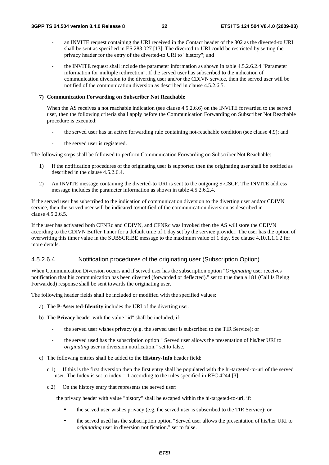- an INVITE request containing the URI received in the Contact header of the 302 as the diverted-to URI shall be sent as specified in ES 283 027 [13]. The diverted-to URI could be restricted by setting the privacy header for the entry of the diverted-to URI to "history"; and
- the INVITE request shall include the parameter information as shown in table 4.5.2.6.2.4 "Parameter information for multiple redirection". If the served user has subscribed to the indication of communication diversion to the diverting user and/or the CDIVN service, then the served user will be notified of the communication diversion as described in clause 4.5.2.6.5.

#### **7) Communication Forwarding on Subscriber Not Reachable**

When the AS receives a not reachable indication (see clause 4.5.2.6.6) on the INVITE forwarded to the served user, then the following criteria shall apply before the Communication Forwarding on Subscriber Not Reachable procedure is executed:

- the served user has an active forwarding rule containing not-reachable condition (see clause 4.9); and
- the served user is registered.

The following steps shall be followed to perform Communication Forwarding on Subscriber Not Reachable:

- 1) If the notification procedures of the originating user is supported then the originating user shall be notified as described in the clause 4.5.2.6.4.
- 2) An INVITE message containing the diverted-to URI is sent to the outgoing S-CSCF. The INVITE address message includes the parameter information as shown in table 4.5.2.6.2.4.

If the served user has subscribed to the indication of communication diversion to the diverting user and/or CDIVN service, then the served user will be indicated to/notified of the communication diversion as described in clause 4.5.2.6.5.

If the user has activated both CFNRc and CDIVN, and CFNRc was invoked then the AS will store the CDIVN according to the CDIVN Buffer Timer for a default time of 1 day set by the service provider. The user has the option of overwriting this timer value in the SUBSCRIBE message to the maximum value of 1 day. See clause 4.10.1.1.1.2 for more details.

#### 4.5.2.6.4 Notification procedures of the originating user (Subscription Option)

When Communication Diversion occurs and if served user has the subscription option "*Originating* user receives notification that his communication has been diverted (forwarded or deflected)." set to true then a 181 (Call Is Being Forwarded) response shall be sent towards the originating user.

The following header fields shall be included or modified with the specified values:

- a) The **P-Asserted-Identity** includes the URI of the diverting user.
- b) The **Privacy** header with the value "id" shall be included, if:
	- the served user wishes privacy (e.g. the served user is subscribed to the TIR Service); or
	- the served used has the subscription option " Served user allows the presentation of his/her URI to *originating* user in diversion notification." set to false.
- c) The following entries shall be added to the **History-Info** header field:
	- c.1) If this is the first diversion then the first entry shall be populated with the hi-targeted-to-uri of the served user. The Index is set to index  $= 1$  according to the rules specified in RFC 4244 [3].
	- c.2) On the history entry that represents the served user:

the privacy header with value "history" shall be escaped within the hi-targeted-to-uri, if:

- the served user wishes privacy (e.g. the served user is subscribed to the TIR Service); or
- the served used has the subscription option "Served user allows the presentation of his/her URI to *originating* user in diversion notification." set to false.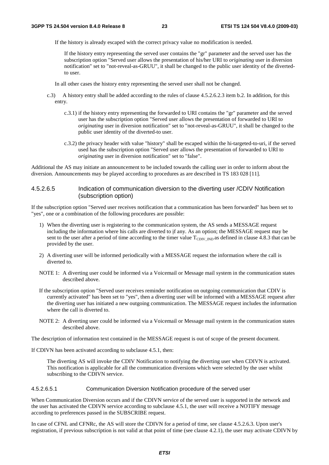If the history is already escaped with the correct privacy value no modification is needed.

If the history entry representing the served user contains the "gr" parameter and the served user has the subscription option "Served user allows the presentation of his/her URI to *originating* user in diversion notification" set to "not-reveal-as-GRUU", it shall be changed to the public user identity of the divertedto user.

In all other cases the history entry representing the served user shall not be changed.

- c.3) A history entry shall be added according to the rules of clause 4.5.2.6.2.3 item b.2. In addition, for this entry.
	- c.3.1) if the history entry representing the forwarded to URI contains the "gr" parameter and the served user has the subscription option "Served user allows the presentation of forwarded to URI to *originating* user in diversion notification" set to "not-reveal-as-GRUU", it shall be changed to the public user identity of the diverted-to user.
	- c.3.2) the privacy header with value "history" shall be escaped within the hi-targeted-to-uri, if the served used has the subscription option "Served user allows the presentation of forwarded to URI to *originating* user in diversion notification" set to "false".

Additional the AS may initiate an announcement to be included towards the calling user in order to inform about the diversion. Announcements may be played according to procedures as are described in TS 183 028 [11].

#### 4.5.2.6.5 Indication of communication diversion to the diverting user /CDIV Notification (subscription option)

If the subscription option "Served user receives notification that a communication has been forwarded" has been set to "yes", one or a combination of the following procedures are possible:

- 1) When the diverting user is registering to the communication system, the AS sends a MESSAGE request including the information where his calls are diverted to if any. As an option; the MESSAGE request may be sent to the user after a period of time according to the timer value  $T_{CDIV~IND}$  as defined in clause 4.8.3 that can be provided by the user.
- 2) A diverting user will be informed periodically with a MESSAGE request the information where the call is diverted to.
- NOTE 1: A diverting user could be informed via a Voicemail or Message mail system in the communication states described above.
- If the subscription option "Served user receives reminder notification on outgoing communication that CDIV is currently activated" has been set to "yes", then a diverting user will be informed with a MESSAGE request after the diverting user has initiated a new outgoing communication. The MESSAGE request includes the information where the call is diverted to.
- NOTE 2: A diverting user could be informed via a Voicemail or Message mail system in the communication states described above.

The description of information text contained in the MESSAGE request is out of scope of the present document.

If CDIVN has been activated according to subclause 4.5.1, then:

 The diverting AS will invoke the CDIV Notification to notifying the diverting user when CDIVN is activated. This notification is applicable for all the communication diversions which were selected by the user whilst subscribing to the CDIVN service.

4.5.2.6.5.1 Communication Diversion Notification procedure of the served user

When Communication Diversion occurs and if the CDIVN service of the served user is supported in the network and the user has activated the CDIVN service according to subclause 4.5.1, the user will receive a NOTIFY message according to preferences passed in the SUBSCRIBE request.

In case of CFNL and CFNRc, the AS will store the CDIVN for a period of time, see clause 4.5.2.6.3. Upon user's registration, if previous subscription is not valid at that point of time (see clause 4.2.1), the user may activate CDIVN by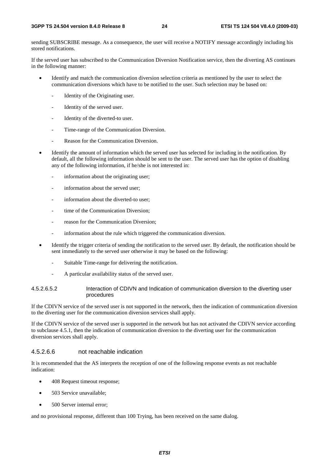sending SUBSCRIBE message. As a consequence, the user will receive a NOTIFY message accordingly including his stored notifications.

If the served user has subscribed to the Communication Diversion Notification service, then the diverting AS continues in the following manner:

- Identify and match the communication diversion selection criteria as mentioned by the user to select the communication diversions which have to be notified to the user. Such selection may be based on:
	- Identity of the Originating user.
	- Identity of the served user.
	- Identity of the diverted-to user.
	- Time-range of the Communication Diversion.
	- Reason for the Communication Diversion.
- Identify the amount of information which the served user has selected for including in the notification. By default, all the following information should be sent to the user. The served user has the option of disabling any of the following information, if he/she is not interested in:
	- information about the originating user;
	- information about the served user;
	- information about the diverted-to user;
	- time of the Communication Diversion;
	- reason for the Communication Diversion;
	- information about the rule which triggered the communication diversion.
- Identify the trigger criteria of sending the notification to the served user. By default, the notification should be sent immediately to the served user otherwise it may be based on the following:
	- Suitable Time-range for delivering the notification.
	- A particular availability status of the served user.

#### 4.5.2.6.5.2 Interaction of CDIVN and Indication of communication diversion to the diverting user procedures

If the CDIVN service of the served user is not supported in the network, then the indication of communication diversion to the diverting user for the communication diversion services shall apply.

If the CDIVN service of the served user is supported in the network but has not activated the CDIVN service according to subclause 4.5.1, then the indication of communication diversion to the diverting user for the communication diversion services shall apply.

#### 4.5.2.6.6 not reachable indication

It is recommended that the AS interprets the reception of one of the following response events as not reachable indication:

- 408 Request timeout response;
- 503 Service unavailable;
- 500 Server internal error;

and no provisional response, different than 100 Trying, has been received on the same dialog.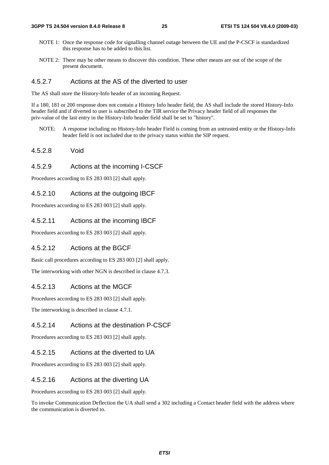- NOTE 1: Once the response code for signalling channel outage between the UE and the P-CSCF is standardized this response has to be added to this list.
- NOTE 2: There may be other means to discover this condition. These other means are out of the scope of the present document.

### 4.5.2.7 Actions at the AS of the diverted to user

The AS shall store the History-Info header of an incoming Request.

If a 180, 181 or 200 response does not contain a History Info header field, the AS shall include the stored History-Info header field and if diverted to user is subscribed to the TIR service the Privacy header field of all responses the priv-value of the last entry in the History-Info header field shall be set to "history".

- NOTE: A response including no History-Info header Field is coming from an untrusted entity or the History-Info header field is not included due to the privacy status within the SIP request.
- 4.5.2.8 Void

### 4.5.2.9 Actions at the incoming I-CSCF

Procedures according to ES 283 003 [2] shall apply.

#### 4.5.2.10 Actions at the outgoing IBCF

Procedures according to ES 283 003 [2] shall apply.

### 4.5.2.11 Actions at the incoming IBCF

Procedures according to ES 283 003 [2] shall apply.

### 4.5.2.12 Actions at the BGCF

Basic call procedures according to ES 283 003 [2] shall apply.

The interworking with other NGN is described in clause 4.7.3.

### 4.5.2.13 Actions at the MGCF

Procedures according to ES 283 003 [2] shall apply.

The interworking is described in clause 4.7.1.

### 4.5.2.14 Actions at the destination P-CSCF

Procedures according to ES 283 003 [2] shall apply.

### 4.5.2.15 Actions at the diverted to UA

Procedures according to ES 283 003 [2] shall apply.

#### 4.5.2.16 Actions at the diverting UA

Procedures according to ES 283 003 [2] shall apply.

To invoke Communication Deflection the UA shall send a 302 including a Contact header field with the address where the communication is diverted to.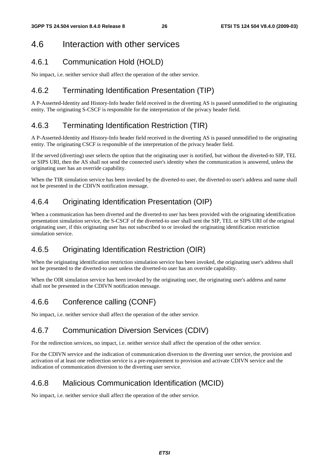## 4.6 Interaction with other services

### 4.6.1 Communication Hold (HOLD)

No impact, i.e. neither service shall affect the operation of the other service.

### 4.6.2 Terminating Identification Presentation (TIP)

A P-Asserted-Identity and History-Info header field received in the diverting AS is passed unmodified to the originating entity. The originating S-CSCF is responsible for the interpretation of the privacy header field.

### 4.6.3 Terminating Identification Restriction (TIR)

A P-Asserted-Identity and History-Info header field received in the diverting AS is passed unmodified to the originating entity. The originating CSCF is responsible of the interpretation of the privacy header field.

If the served (diverting) user selects the option that the originating user is notified, but without the diverted-to SIP, TEL or SIPS URI, then the AS shall not send the connected user's identity when the communication is answered, unless the originating user has an override capability.

When the TIR simulation service has been invoked by the diverted-to user, the diverted-to user's address and name shall not be presented in the CDIVN notification message.

### 4.6.4 Originating Identification Presentation (OIP)

When a communication has been diverted and the diverted-to user has been provided with the originating identification presentation simulation service, the S-CSCF of the diverted-to user shall sent the SIP, TEL or SIPS URI of the original originating user, if this originating user has not subscribed to or invoked the originating identification restriction simulation service.

### 4.6.5 Originating Identification Restriction (OIR)

When the originating identification restriction simulation service has been invoked, the originating user's address shall not be presented to the diverted-to user unless the diverted-to user has an override capability.

When the OIR simulation service has been invoked by the originating user, the originating user's address and name shall not be presented in the CDIVN notification message.

### 4.6.6 Conference calling (CONF)

No impact, i.e. neither service shall affect the operation of the other service.

### 4.6.7 Communication Diversion Services (CDIV)

For the redirection services, no impact, i.e. neither service shall affect the operation of the other service.

For the CDIVN service and the indication of communication diversion to the diverting user service, the provision and activation of at least one redirection service is a pre-requirement to provision and activate CDIVN service and the indication of communication diversion to the diverting user service.

### 4.6.8 Malicious Communication Identification (MCID)

No impact, i.e. neither service shall affect the operation of the other service.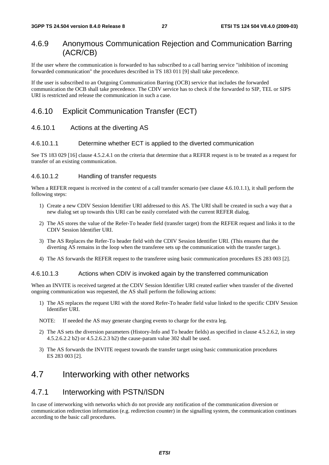### 4.6.9 Anonymous Communication Rejection and Communication Barring (ACR/CB)

If the user where the communication is forwarded to has subscribed to a call barring service "inhibition of incoming forwarded communication" the procedures described in TS 183 011 [9] shall take precedence.

If the user is subscribed to an Outgoing Communication Barring (OCB) service that includes the forwarded communication the OCB shall take precedence. The CDIV service has to check if the forwarded to SIP, TEL or SIPS URI is restricted and release the communication in such a case.

### 4.6.10 Explicit Communication Transfer (ECT)

### 4.6.10.1 Actions at the diverting AS

#### 4.6.10.1.1 Determine whether ECT is applied to the diverted communication

See TS 183 029 [16] clause 4.5.2.4.1 on the criteria that determine that a REFER request is to be treated as a request for transfer of an existing communication.

#### 4.6.10.1.2 Handling of transfer requests

When a REFER request is received in the context of a call transfer scenario (see clause 4.6.10.1.1), it shall perform the following steps:

- 1) Create a new CDIV Session Identifier URI addressed to this AS. The URI shall be created in such a way that a new dialog set up towards this URI can be easily correlated with the current REFER dialog.
- 2) The AS stores the value of the Refer-To header field (transfer target) from the REFER request and links it to the CDIV Session Identifier URI.
- 3) The AS Replaces the Refer-To header field with the CDIV Session Identifier URI. (This ensures that the diverting AS remains in the loop when the transferee sets up the communication with the transfer target.).
- 4) The AS forwards the REFER request to the transferee using basic communication procedures ES 283 003 [2].

#### 4.6.10.1.3 Actions when CDIV is invoked again by the transferred communication

When an INVITE is received targeted at the CDIV Session Identifier URI created earlier when transfer of the diverted ongoing communication was requested, the AS shall perform the following actions:

- 1) The AS replaces the request URI with the stored Refer-To header field value linked to the specific CDIV Session Identifier URI.
- NOTE: If needed the AS may generate charging events to charge for the extra leg.
- 2) The AS sets the diversion parameters (History-Info and To header fields) as specified in clause 4.5.2.6.2, in step 4.5.2.6.2.2 b2) or 4.5.2.6.2.3 b2) the cause-param value 302 shall be used.
- 3) The AS forwards the INVITE request towards the transfer target using basic communication procedures ES 283 003 [2].

### 4.7 Interworking with other networks

### 4.7.1 Interworking with PSTN/ISDN

In case of interworking with networks which do not provide any notification of the communication diversion or communication redirection information (e.g. redirection counter) in the signalling system, the communication continues according to the basic call procedures.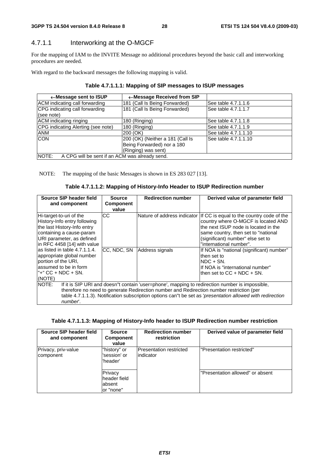### 4.7.1.1 Interworking at the O-MGCF

For the mapping of IAM to the INVITE Message no additional procedures beyond the basic call and interworking procedures are needed.

With regard to the backward messages the following mapping is valid.

| $\leftarrow$ Message sent to ISUP                       | ← Message Received from SIP      |                      |  |  |  |
|---------------------------------------------------------|----------------------------------|----------------------|--|--|--|
| ACM indicating call forwarding                          | 181 (Call Is Being Forwarded)    | See table 4.7.1.1.6  |  |  |  |
| CPG indicating call forwarding<br>(see note)            | 181 (Call Is Being Forwarded)    | See table 4.7.1.1.7  |  |  |  |
| <b>ACM</b> indicating ringing                           | 180 (Ringing)                    | See table 4.7.1.1.8  |  |  |  |
| CPG indicating Alerting (see note)                      | 180 (Ringing)                    | See table 4.7.1.1.9  |  |  |  |
| <b>ANM</b>                                              | 200 (OK)                         | See table 4.7.1.1.10 |  |  |  |
| <b>CON</b>                                              | 200 (OK) (Neither a 181 (Call Is | See table 4.7.1.1.10 |  |  |  |
|                                                         | Being Forwarded) nor a 180       |                      |  |  |  |
|                                                         | (Ringing) was sent)              |                      |  |  |  |
| NOTE:<br>A CPG will be sent if an ACM was already send. |                                  |                      |  |  |  |

|  | Table 4.7.1.1.1: Mapping of SIP messages to ISUP messages |
|--|-----------------------------------------------------------|
|--|-----------------------------------------------------------|

NOTE: The mapping of the basic Messages is shown in ES 283 027 [13].

| Source SIP header field<br>and component                                                                                                                                                                                                                                                                                      | <b>Source</b><br><b>Component</b><br>value | <b>Redirection number</b> | Derived value of parameter field                                                                                                                                                                                                                             |
|-------------------------------------------------------------------------------------------------------------------------------------------------------------------------------------------------------------------------------------------------------------------------------------------------------------------------------|--------------------------------------------|---------------------------|--------------------------------------------------------------------------------------------------------------------------------------------------------------------------------------------------------------------------------------------------------------|
| Hi-target-to-uri of the<br>History-Info entry following<br>the last History-Info entry<br>containing a cause-param<br>URI parameter, as defined<br>in RFC 4458 [14] with value                                                                                                                                                | CС                                         |                           | Nature of address indicator If CC is equal to the country code of the<br>country where O-MGCF is located AND<br>the next ISUP node is located in the<br>same country, then set to "national"<br>(significant) number" else set to<br>"international number". |
| as listed in table 4.7.1.1.4.<br>appropriate global number<br>portion of the URI.<br>assumed to be in form<br>l"+" CC + NDC + SN.<br>(NOTE)                                                                                                                                                                                   | CC. NDC. SN                                | Address signals           | If NOA is "national (significant) number"<br>then set to<br>INDC + SN.<br>If NOA is "international number"<br>Ithen set to $CC + NDC + SN$ .                                                                                                                 |
| NOTE:<br>If it is SIP URI and doesn"t contain 'user=phone', mapping to redirection number is impossible,<br>therefore no need to generate Redirection number and Redirection number restriction (per<br>table 4.7.1.1.3). Notification subscription options can"t be set as 'presentation allowed with redirection<br>number. |                                            |                           |                                                                                                                                                                                                                                                              |

#### **Table 4.7.1.1.3: Mapping of History-Info header to ISUP Redirection number restriction**

| Source SIP header field<br>and component | <b>Source</b><br><b>Component</b><br>value     | <b>Redirection number</b><br>restriction | Derived value of parameter field |
|------------------------------------------|------------------------------------------------|------------------------------------------|----------------------------------|
| Privacy, priv-value<br>component         | "history" or<br>'session' or<br>'header'       | IPresentation restricted<br>lindicator   | "Presentation restricted"        |
|                                          | Privacy<br>header field<br>absent<br>or "none" |                                          | "Presentation allowed" or absent |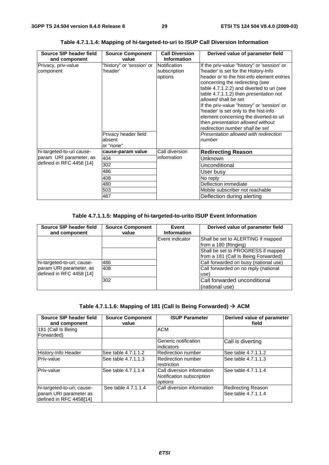| Source SIP header field<br>and component | <b>Source Component</b><br>value            | <b>Call Diversion</b><br><b>Information</b> | Derived value of parameter field                                                                                                                                                                                                                                                                                                                                                                                                                                                              |
|------------------------------------------|---------------------------------------------|---------------------------------------------|-----------------------------------------------------------------------------------------------------------------------------------------------------------------------------------------------------------------------------------------------------------------------------------------------------------------------------------------------------------------------------------------------------------------------------------------------------------------------------------------------|
| Privacy, priv-value<br>component         | "history" or 'session' or<br>'header'       | Notification<br>subscription<br>options     | If the priv-value "history" or 'session' or<br>'header' is set for the History-Info<br>header or to the hist-info element entries<br>concerning the redirecting (see<br>table 4.7.1.2.2) and diverted to uri (see<br>table 4.7.1.1.2) then presentation not<br>allowed shall be set<br>If the priv-value "history" or 'session' or<br>'header' is set only to the hist-info<br>element concerning the diverted-to uri<br>then presentation allowed without<br>redirection number shall be set |
|                                          | Privacy header field<br>absent<br>or "none" |                                             | Presentation allowed with redirection<br>number                                                                                                                                                                                                                                                                                                                                                                                                                                               |
| hi-targeted-to-uri cause-                | cause-param value                           | Call diversion                              | <b>Redirecting Reason</b>                                                                                                                                                                                                                                                                                                                                                                                                                                                                     |
| param URI parameter, as                  | 404                                         | information                                 | Unknown                                                                                                                                                                                                                                                                                                                                                                                                                                                                                       |
| defined in RFC 4458 [14]                 | 302                                         |                                             | Unconditional                                                                                                                                                                                                                                                                                                                                                                                                                                                                                 |
|                                          | 486                                         |                                             | User busy                                                                                                                                                                                                                                                                                                                                                                                                                                                                                     |
|                                          | 408                                         |                                             | No reply                                                                                                                                                                                                                                                                                                                                                                                                                                                                                      |
|                                          | 480                                         |                                             | Deflection immediate                                                                                                                                                                                                                                                                                                                                                                                                                                                                          |
|                                          | 503                                         |                                             | Mobile subscriber not reachable                                                                                                                                                                                                                                                                                                                                                                                                                                                               |
|                                          | 487                                         |                                             | Deflection during alerting                                                                                                                                                                                                                                                                                                                                                                                                                                                                    |

**Table 4.7.1.1.4: Mapping of hi-targeted-to-uri to ISUP Call Diversion Information** 

### **Table 4.7.1.1.5: Mapping of hi-targeted-to-urito ISUP Event Information**

| Source SIP header field<br>and component            | <b>Source Component</b><br>value | Event<br><b>Information</b> | Derived value of parameter field                                           |
|-----------------------------------------------------|----------------------------------|-----------------------------|----------------------------------------------------------------------------|
|                                                     |                                  | Event indicator             | Shall be set to ALERTING if mapped<br>from a 180 (Ringing)                 |
|                                                     |                                  |                             | Shall be set to PROGRESS if mapped<br>from a 181 (Call Is Being Forwarded) |
| hi-targeted-to-uri; cause-                          | 486                              |                             | Call forwarded on busy (national use)                                      |
| param URI parameter, as<br>defined in RFC 4458 [14] | 1408                             |                             | Call forwarded on no reply (national<br>use)                               |
|                                                     | 302                              |                             | Call forwarded unconditional<br>(national use)                             |

| Table 4.7.1.1.6: Mapping of 181 (Call Is Being Forwarded) $\rightarrow$ ACM |  |  |
|-----------------------------------------------------------------------------|--|--|
|                                                                             |  |  |

| Source SIP header field<br>and component                                        | <b>Source Component</b><br>value | <b>ISUP Parameter</b>                                              | Derived value of parameter<br>field              |
|---------------------------------------------------------------------------------|----------------------------------|--------------------------------------------------------------------|--------------------------------------------------|
| 181 (Call Is Being                                                              |                                  | <b>ACM</b>                                                         |                                                  |
| Forwarded)                                                                      |                                  |                                                                    |                                                  |
|                                                                                 |                                  | Generic notification<br>lindicators                                | Call is diverting                                |
| <b>History-Info Header</b>                                                      | See table 4.7.1.1.2              | Redirection number                                                 | See table 4.7.1.1.2                              |
| Priv-value                                                                      | See table 4.7.1.1.3              | Redirection number<br>restriction                                  | See table 4.7.1.1.3                              |
| Priv-value                                                                      | See table 4.7.1.1.4              | Call diversion information<br>Notification subscription<br>options | See table 4.7.1.1.4                              |
| hi-targeted-to-uri; cause-<br>param URI parameter as<br>defined in RFC 4458[14] | See table 4.7.1.1.4              | Call diversion information                                         | <b>Redirecting Reason</b><br>See table 4.7.1.1.4 |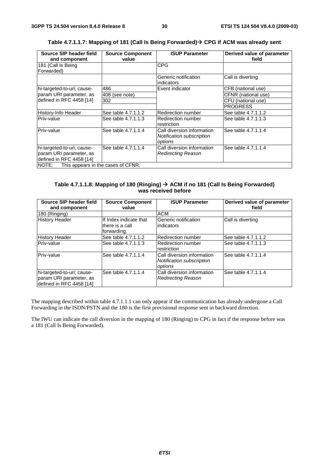| Source SIP header field                     | <b>Source Component</b> | <b>ISUP Parameter</b>      | Derived value of parameter |
|---------------------------------------------|-------------------------|----------------------------|----------------------------|
| and component                               | value                   |                            | field                      |
| 181 (Call Is Being                          |                         | <b>CPG</b>                 |                            |
| Forwarded)                                  |                         |                            |                            |
|                                             |                         | Generic notification       | Call is diverting          |
|                                             |                         | indicators                 |                            |
| hi-targeted-to-uri; cause-                  | 486                     | Event indicator            | CFB (national use)         |
| param URI parameter, as                     | 408 (see note)          |                            | CFNR (national use)        |
| defined in RFC 4458 [14]                    | 302                     |                            | CFU (national use)         |
|                                             |                         |                            | <b>PROGRESS</b>            |
| History-Info Header                         | See table 4.7.1.1.2     | Redirection number         | See table 4.7.1.1.2        |
| Priv-value                                  | See table 4.7.1.1.3     | Redirection number         | See table 4.7.1.1.3        |
|                                             |                         | restriction                |                            |
| Priv-value                                  | See table 4.7.1.1.4     | Call diversion information | See table 4.7.1.1.4        |
|                                             |                         | Notification subscription  |                            |
|                                             |                         | options                    |                            |
| hi-targeted-to-uri; cause-                  | See table 4.7.1.1.4     | Call diversion information | See table 4.7.1.1.4        |
| param URI parameter, as                     |                         | <b>Redirecting Reason</b>  |                            |
| defined in RFC 4458 [14]                    |                         |                            |                            |
| NOTE:<br>This appears in the cases of CFNR. |                         |                            |                            |

**Table 4.7.1.1.7: Mapping of 181 (Call Is Being Forwarded) CPG if ACM was already sent** 

#### **Table 4.7.1.1.8: Mapping of 180 (Ringing) ACM if no 181 (Call Is Being Forwarded) was received before**

| Source SIP header field<br>and component                                          | <b>Source Component</b><br>value                          | <b>ISUP Parameter</b>                                              | Derived value of parameter<br>field |
|-----------------------------------------------------------------------------------|-----------------------------------------------------------|--------------------------------------------------------------------|-------------------------------------|
| 180 (Ringing)                                                                     |                                                           | <b>ACM</b>                                                         |                                     |
| <b>History Header</b>                                                             | If Index indicate that<br>lthere is a call<br>forwarding. | Generic notification<br>lindicators                                | Call is diverting                   |
| <b>History Header</b>                                                             | See table 4.7.1.1.2                                       | Redirection number                                                 | See table 4.7.1.1.2                 |
| Priv-value                                                                        | See table 4.7.1.1.3                                       | Redirection number<br>restriction                                  | See table 4.7.1.1.3                 |
| Priv-value                                                                        | See table 4.7.1.1.4                                       | Call diversion information<br>Notification subscription<br>options | See table 4.7.1.1.4                 |
| hi-targeted-to-uri; cause-<br>param URI parameter, as<br>defined in RFC 4458 [14] | See table 4.7.1.1.4                                       | Call diversion information<br>Redirecting Reason                   | See table 4.7.1.1.4                 |

The mapping described within table 4.7.1.1.1 can only appear if the communication has already undergone a Call Forwarding in the ISDN/PSTN and the 180 is the first provisional response sent in backward direction.

The IWU can indicate the call diversion in the mapping of 180 (Ringing) to CPG in fact if the response before was a 181 (Call Is Being Forwarded).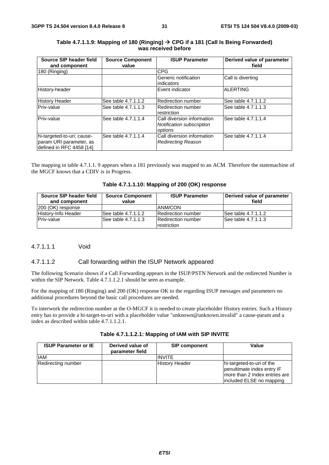| Source SIP header field                                                           | <b>Source Component</b> | <b>ISUP Parameter</b>                                              | Derived value of parameter |
|-----------------------------------------------------------------------------------|-------------------------|--------------------------------------------------------------------|----------------------------|
| and component                                                                     | value                   |                                                                    | field                      |
| 180 (Ringing)                                                                     |                         | <b>CPG</b>                                                         |                            |
|                                                                                   |                         | Generic notification<br>indicators                                 | Call is diverting          |
| History-header                                                                    |                         | Event indicator                                                    | <b>ALERTING</b>            |
| <b>History Header</b>                                                             | See table 4.7.1.1.2     | <b>Redirection number</b>                                          | See table 4.7.1.1.2        |
| Priv-value                                                                        | See table 4.7.1.1.3     | Redirection number<br>restriction                                  | See table 4.7.1.1.3        |
| Priv-value                                                                        | See table 4.7.1.1.4     | Call diversion information<br>Notification subscription<br>options | See table 4.7.1.1.4        |
| hi-targeted-to-uri; cause-<br>param URI parameter, as<br>defined in RFC 4458 [14] | See table 4.7.1.1.4     | Call diversion information<br><b>Redirecting Reason</b>            | See table 4.7.1.1.4        |

#### **Table 4.7.1.1.9: Mapping of 180 (Ringing) CPG if a 181 (Call Is Being Forwarded) was received before**

The mapping in table 4.7.1.1. 9 appears when a 181 previously was mapped to an ACM. Therefore the statemachine of the MGCF knows that a CDIV is in Progress.

|  | Table 4.7.1.1.10: Mapping of 200 (OK) response |  |  |  |
|--|------------------------------------------------|--|--|--|
|--|------------------------------------------------|--|--|--|

| Source SIP header field<br>and component | <b>Source Component</b><br>value | <b>ISUP Parameter</b>                    | Derived value of parameter<br>field |
|------------------------------------------|----------------------------------|------------------------------------------|-------------------------------------|
| [200 (OK) response                       |                                  | <b>ANM/CON</b>                           |                                     |
| History-Info Header                      | See table 4.7.1.1.2              | Redirection number                       | See table 4.7.1.1.2                 |
| <b>Priv-value</b>                        | ISee table 4.7.1.1.3             | <b>Redirection number</b><br>restriction | See table 4.7.1.1.3                 |

### 4.7.1.1.1 Void

#### 4.7.1.1.2 Call forwarding within the ISUP Network appeared

The following Scenario shows if a Call Forwarding appears in the ISUP/PSTN Network and the redirected Number is within the SIP Network. Table 4.7.1.1.2.1 should be seen as example.

For the mapping of 180 (Ringing) and 200 (OK) response OK to the regarding ISUP messages and parameters no additional procedures beyond the basic call procedures are needed.

To interwork the redirection number at the O-MGCF it is needed to create placeholder History entries. Such a History entry has to provide a hi-target-to-uri with a placeholder value "unknown@unknown.invalid" a cause-param and a index as described within table 4.7.1.1.2.1.

| Table 4.7.1.1.2.1: Mapping of IAM with SIP INVITE |  |  |
|---------------------------------------------------|--|--|
|---------------------------------------------------|--|--|

| <b>ISUP Parameter or IE</b> | Derived value of<br>parameter field | <b>SIP component</b>  | Value                                                                                                                |
|-----------------------------|-------------------------------------|-----------------------|----------------------------------------------------------------------------------------------------------------------|
| <b>IAM</b>                  |                                     | <b>INVITE</b>         |                                                                                                                      |
| Redirecting number          |                                     | <b>History Header</b> | hi-targeted-to-uri of the<br>penultimate index entry IF<br>more than 2 Index entries are<br>included ELSE no mapping |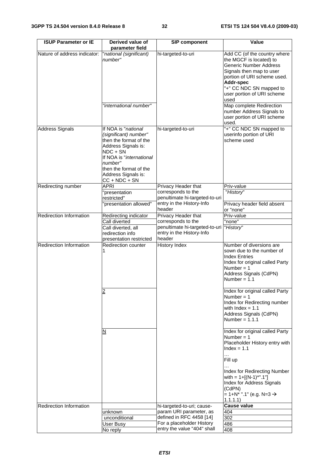| <b>ISUP Parameter or IE</b>    | Derived value of<br>parameter field                                                                                                                                                                                  | <b>SIP component</b>                                 | Value                                                                                                                                                                                                                             |
|--------------------------------|----------------------------------------------------------------------------------------------------------------------------------------------------------------------------------------------------------------------|------------------------------------------------------|-----------------------------------------------------------------------------------------------------------------------------------------------------------------------------------------------------------------------------------|
| Nature of address indicator:   | national (significant)<br>number"                                                                                                                                                                                    | hi-targeted-to-uri                                   | Add CC (of the country where<br>the MGCF is located) to<br><b>Generic Number Address</b><br>Signals then map to user<br>portion of URI scheme used.<br>Addr-spec<br>"+" CC NDC SN mapped to<br>user portion of URI scheme<br>used |
|                                | "international number"                                                                                                                                                                                               |                                                      | Map complete Redirection<br>number Address Signals to<br>user portion of URI scheme<br>used.                                                                                                                                      |
| <b>Address Signals</b>         | If NOA is "national<br>(significant) number"<br>then the format of the<br>Address Signals is:<br>NDC + SN<br>If NOA is "international<br>number"<br>then the format of the<br>Address Signals is:<br>$CC + NDC + SN$ | hi-targeted-to-uri                                   | "+" CC NDC SN mapped to<br>userinfo portion of URI<br>scheme used                                                                                                                                                                 |
| Redirecting number             | APRI                                                                                                                                                                                                                 | Privacy Header that                                  | Priv-value                                                                                                                                                                                                                        |
|                                | 'presentation<br>restricted"                                                                                                                                                                                         | corresponds to the<br>penultimate hi-targeted-to-uri | "History"                                                                                                                                                                                                                         |
|                                | 'presentation allowed"                                                                                                                                                                                               | entry in the History-Info<br>header                  | Privacy header field absent<br>or "none"                                                                                                                                                                                          |
| <b>Redirection Information</b> | Redirecting indicator                                                                                                                                                                                                | Privacy Header that                                  | Priv-value                                                                                                                                                                                                                        |
|                                | Call diverted<br>Call diverted, all                                                                                                                                                                                  | corresponds to the<br>penultimate hi-targeted-to-uri | "none"<br>"History"                                                                                                                                                                                                               |
|                                | redirection info<br>presentation restricted                                                                                                                                                                          | entry in the History-Info<br>header                  |                                                                                                                                                                                                                                   |
| Redirection Information        | Redirection counter<br>1                                                                                                                                                                                             | <b>History Index</b>                                 | Number of diversions are<br>sown due to the number of<br><b>Index Entries</b><br>Index for original called Party<br>Number = $1$<br>Address Signals (CdPN)<br>Number = $1.1$                                                      |
|                                | $\overline{2}$                                                                                                                                                                                                       |                                                      | Index for original called Party<br>Number = $1$<br>Index for Redirecting number<br>with $Index = 1.1$<br>Address Signals (CdPN)<br>Number = $1.1.1$                                                                               |
|                                | N                                                                                                                                                                                                                    |                                                      | Index for original called Party<br>Number = $1$<br>Placeholder History entry with<br>$Index = 1.1$                                                                                                                                |
|                                |                                                                                                                                                                                                                      |                                                      | $\ddotsc$<br>Fill up                                                                                                                                                                                                              |
|                                |                                                                                                                                                                                                                      |                                                      | Index for Redirecting Number<br>with = $1+[({N-1})^*".1"]$<br>Index for Address Signals<br>(CdPN)<br>= 1+N <sup>*</sup> ".1" (e.g. N=3 $\rightarrow$<br>1.1.1.1)                                                                  |
| <b>Redirection Information</b> |                                                                                                                                                                                                                      | hi-targeted-to-uri; cause-                           | Cause value                                                                                                                                                                                                                       |
|                                | unknown<br>unconditional                                                                                                                                                                                             | param URI parameter, as<br>defined in RFC 4458 [14]  | 404<br>302                                                                                                                                                                                                                        |
|                                | User Busy                                                                                                                                                                                                            | For a placeholder History                            | 486                                                                                                                                                                                                                               |
|                                | No reply                                                                                                                                                                                                             | entry the value "404" shall                          | 408                                                                                                                                                                                                                               |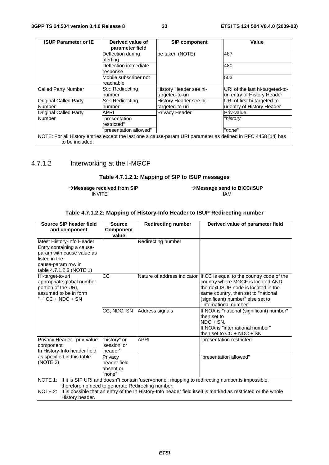| <b>ISUP Parameter or IE</b>            | Derived value of<br>parameter field | <b>SIP component</b>                                                                                          | Value                                                          |
|----------------------------------------|-------------------------------------|---------------------------------------------------------------------------------------------------------------|----------------------------------------------------------------|
|                                        | Deflection during<br>alerting       | be taken (NOTE)                                                                                               | 487                                                            |
|                                        | Deflection immediate<br>response    |                                                                                                               | 480                                                            |
|                                        | Mobile subscriber not<br>reachable  |                                                                                                               | 503                                                            |
| <b>Called Party Number</b>             | See Redirecting<br>number           | History Header see hi-<br>targeted-to-uri                                                                     | URI of the last hi-targeted-to-<br>uri entry of History Header |
| <b>Original Called Party</b><br>Number | See Redirecting<br>number           | History Header see hi-<br>targeted-to-uri                                                                     | URI of first hi-targeted-to-<br>urientry of History Header     |
| <b>Original Called Party</b>           | APRI                                | Privacy Header                                                                                                | Priv-value                                                     |
| Number                                 | "presentation<br>restricted"        |                                                                                                               | "history"                                                      |
|                                        | "presentation allowed"              |                                                                                                               | "none"                                                         |
| to be included.                        |                                     | NOTE: For all History entries except the last one a cause-param URI parameter as defined in RFC 4458 [14] has |                                                                |

### 4.7.1.2 Interworking at the I-MGCF

### **Table 4.7.1.2.1: Mapping of SIP to ISUP messages**

**Message received from SIP Message send to BICC/ISUP** INVITE IAM

| Source SIP header field<br>and component                                                                                                                                                                                                                                                                | <b>Source</b><br><b>Component</b><br>value     | <b>Redirecting number</b>   | Derived value of parameter field                                                                                                                                                                                                                         |
|---------------------------------------------------------------------------------------------------------------------------------------------------------------------------------------------------------------------------------------------------------------------------------------------------------|------------------------------------------------|-----------------------------|----------------------------------------------------------------------------------------------------------------------------------------------------------------------------------------------------------------------------------------------------------|
| latest History-Info Header<br>Entry containing a cause-<br>param with cause value as<br>listed in the<br>cause-param row in<br>table 4.7.1.2.3 (NOTE 1)                                                                                                                                                 |                                                | Redirecting number          |                                                                                                                                                                                                                                                          |
| Hi-target-to-uri<br>appropriate global number<br>portion of the URI,<br>assumed to be in form<br>"+" CC + NDC + SN                                                                                                                                                                                      | $\overline{cc}$                                |                             | Nature of address indicator If CC is equal to the country code of the<br>country where MGCF is located AND<br>the next ISUP node is located in the<br>same country, then set to "national<br>(significant) number" else set to<br>"international number" |
|                                                                                                                                                                                                                                                                                                         |                                                | CC, NDC, SN Address signals | If NOA is "national (significant) number"<br>then set to<br>$NDC + SN$ .<br>If NOA is "international number"<br>then set to $CC + NDC + SN$                                                                                                              |
| Privacy Header, priv-value<br>component<br>In History-Info header field                                                                                                                                                                                                                                 | "history" or<br>'session' or<br>'header'       | <b>APRI</b>                 | "presentation restricted"                                                                                                                                                                                                                                |
| as specified in this table<br>(NOTE 2)                                                                                                                                                                                                                                                                  | Privacy<br>header field<br>absent or<br>"none" |                             | "presentation allowed"                                                                                                                                                                                                                                   |
| NOTE 1: If it is SIP URI and doesn"t contain 'user=phone', mapping to redirecting number is impossible,<br>therefore no need to generate Redirecting number.<br>NOTE 2: It is possible that an entry of the In History-Info header field itself is marked as restricted or the whole<br>History header. |                                                |                             |                                                                                                                                                                                                                                                          |
|                                                                                                                                                                                                                                                                                                         |                                                |                             |                                                                                                                                                                                                                                                          |

#### **Table 4.7.1.2.2: Mapping of History-Info Header to ISUP Redirecting number**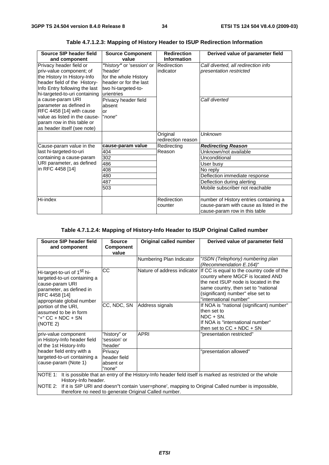| Source SIP header field       | <b>Source Component</b>   | <b>Redirection</b><br><b>Information</b> | Derived value of parameter field        |
|-------------------------------|---------------------------|------------------------------------------|-----------------------------------------|
| and component                 | value                     |                                          |                                         |
| Privacy header field or       | "history" or 'session' or | Redirection                              | Call diverted, all redirection info     |
| priv-value component; of      | 'header'                  | indicator                                | presentation restricted                 |
| the History In History-Info   | for the whole History     |                                          |                                         |
| header field of the History-  | header or for the last    |                                          |                                         |
| Info Entry following the last | two hi-targeted-to-       |                                          |                                         |
| hi-targeted-to-uri containing | urientries                |                                          |                                         |
| a cause-param URI             | Privacy header field      |                                          | Call diverted                           |
| parameter as defined in       | absent                    |                                          |                                         |
| RFC 4458 [14] with cause      | or                        |                                          |                                         |
| value as listed in the cause- | "none"                    |                                          |                                         |
| param row in this table or    |                           |                                          |                                         |
| as header itself (see note)   |                           |                                          |                                         |
|                               |                           | Original                                 | <b>Unknown</b>                          |
|                               |                           | redirection reason                       |                                         |
| Cause-param value in the      | cause-param value         | Redirecting                              | <b>Redirecting Reason</b>               |
| last hi-targeted-to-uri       | 404                       | Reason                                   | Unknown/not available                   |
| containing a cause-param      | 302                       |                                          | Unconditional                           |
| URI parameter, as defined     | 486                       |                                          | User busy                               |
| in RFC 4458 [14]              | 408                       |                                          | No reply                                |
|                               | 480                       |                                          | Deflection immediate response           |
|                               | 487                       |                                          | Deflection during alerting              |
|                               | 503                       |                                          | Mobile subscriber not reachable         |
|                               |                           |                                          |                                         |
| Hi-index                      |                           | Redirection                              | number of History entries containing a  |
|                               |                           | counter                                  | cause-param with cause as listed in the |
|                               |                           |                                          | cause-param row in this table           |

**Table 4.7.1.2.3: Mapping of History Header to ISUP Redirection Information** 

### **Table 4.7.1.2.4: Mapping of History-Info Header to ISUP Original Called number**

| Source SIP header field<br>and component                                                                                                                                                                                                                                                                             | <b>Source</b><br><b>Component</b><br>value     | Original called number      | Derived value of parameter field                                                                                                                                                                                             |
|----------------------------------------------------------------------------------------------------------------------------------------------------------------------------------------------------------------------------------------------------------------------------------------------------------------------|------------------------------------------------|-----------------------------|------------------------------------------------------------------------------------------------------------------------------------------------------------------------------------------------------------------------------|
|                                                                                                                                                                                                                                                                                                                      |                                                | Numbering Plan Indicator    | "ISDN (Telephony) numbering plan<br>(Recommendation E.164)"                                                                                                                                                                  |
| Hi-target-to-uri of 1 <sup>St</sup> hi-<br>targeted-to-uri containing a<br>cause-param URI<br>parameter, as defined in<br>RFC 4458 [14]<br>appropriate global number                                                                                                                                                 | CС                                             | Nature of address indicator | If CC is equal to the country code of the<br>country where MGCF is located AND<br>the next ISUP node is located in the<br>same country, then set to "national<br>(significant) number" else set to<br>"international number" |
| portion of the URI.<br>assumed to be in form<br>"+" CC + NDC + SN<br>(NOTE 2)                                                                                                                                                                                                                                        | CC, NDC, SN                                    | Address signals             | If NOA is "national (significant) number"<br>then set to<br>$NDC + SN$ .<br>If NOA is "international number"<br>then set to $CC + NDC + SN$                                                                                  |
| priv-value component<br>in History-Info header field<br>of the 1st History-Info                                                                                                                                                                                                                                      | "history" or<br>'session' or<br>'header'       | <b>APRI</b>                 | "presentation restricted"                                                                                                                                                                                                    |
| header field entry with a<br>targeted-to-uri containing a<br>cause-param (Note 1)                                                                                                                                                                                                                                    | Privacy<br>header field<br>absent or<br>"none" |                             | "presentation allowed"                                                                                                                                                                                                       |
| NOTE 1: It is possible that an entry of the History-Info header field itself is marked as restricted or the whole<br>History-Info header.<br>NOTE 2:<br>If it is SIP URI and doesn"t contain 'user=phone', mapping to Original Called number is impossible,<br>therefore no need to generate Original Called number. |                                                |                             |                                                                                                                                                                                                                              |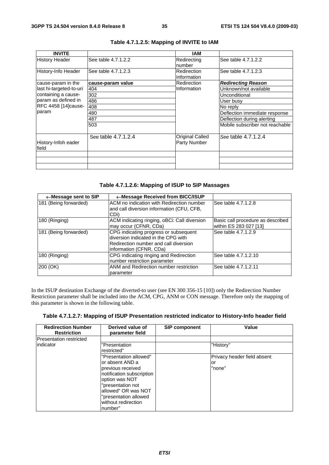| <b>INVITE</b>                |                     | IAM                                           |                                 |
|------------------------------|---------------------|-----------------------------------------------|---------------------------------|
| <b>History Header</b>        | See table 4.7.1.2.2 | Redirecting<br>number                         | See table 4.7.1.2.2             |
| History-Info Header          | See table 4.7.1.2.3 | Redirection<br>Information                    | See table 4.7.1.2.3             |
| cause-param in the           | cause-param value   | Redirection                                   | <b>Redirecting Reason</b>       |
| last hi-targeted-to-uri      | 404                 | Information                                   | Unknown/not available           |
| containing a cause-          | 302                 |                                               | Unconditional                   |
| param as defined in          | 486                 |                                               | User busy                       |
| RFC 4458 [14] cause-         | 408                 |                                               | No reply                        |
| param                        | 480                 |                                               | Deflection immediate response   |
|                              | 487                 |                                               | Deflection during alerting      |
|                              | 503                 |                                               | Mobile subscriber not reachable |
| History-Infoh eader<br>field | See table 4.7.1.2.4 | <b>Original Called</b><br><b>Party Number</b> | See table 4.7.1.2.4             |
|                              |                     |                                               |                                 |
|                              |                     |                                               |                                 |
|                              |                     |                                               |                                 |

### **Table 4.7.1.2.5: Mapping of INVITE to IAM**

**Table 4.7.1.2.6: Mapping of ISUP to SIP Massages** 

| ←Message sent to SIP  | ←Message Received from BICC/ISUP                                                                                                                 |                                                             |
|-----------------------|--------------------------------------------------------------------------------------------------------------------------------------------------|-------------------------------------------------------------|
| 181 (Being forwarded) | ACM no indication with Redirection number<br>and call diversion information (CFU, CFB,<br>ICDi)                                                  | See table 4.7.1.2.8                                         |
| 180 (Ringing)         | ACM indicating ringing, oBCi: Call diversion<br>may occur (CFNR, CDa)                                                                            | Basic call procedure as described<br>within ES 283 027 [13] |
| 181 (Being forwarded) | CPG indicating progress or subsequent<br>diversion indicated in the CPG with<br>Redirection number and call diversion<br>information (CFNR, CDa) | See table 4.7.1.2.9                                         |
| 180 (Ringing)         | CPG indicating ringing and Redirection<br>number restriction parameter                                                                           | See table 4.7.1.2.10                                        |
| 200 (OK)              | ANM and Redirection number restriction<br>parameter                                                                                              | See table 4.7.1.2.11                                        |

In the ISUP destination Exchange of the diverted-to user (see EN 300 356-15 [10]) only the Redirection Number Restriction parameter shall be included into the ACM, CPG, ANM or CON message. Therefore only the mapping of this parameter is shown in the following table.

|  | Table 4.7.1.2.7: Mapping of ISUP Presentation restricted indicator to History-Info header field |  |
|--|-------------------------------------------------------------------------------------------------|--|
|--|-------------------------------------------------------------------------------------------------|--|

| <b>Redirection Number</b><br><b>Restriction</b> | Derived value of<br>parameter field | <b>SIP component</b> | Value                       |
|-------------------------------------------------|-------------------------------------|----------------------|-----------------------------|
| Presentation restricted                         |                                     |                      |                             |
| lindicator                                      | "Presentation<br>restricted"        |                      | "History"                   |
|                                                 | "Presentation allowed"              |                      | Privacy header field absent |
|                                                 | lor absent AND a                    |                      | or                          |
|                                                 | previous received                   |                      | "none"                      |
|                                                 | notification subscription           |                      |                             |
|                                                 | option was NOT                      |                      |                             |
|                                                 | "presentation not                   |                      |                             |
|                                                 | allowed" OR was NOT                 |                      |                             |
|                                                 | "presentation allowed               |                      |                             |
|                                                 | without redirection                 |                      |                             |
|                                                 | number"                             |                      |                             |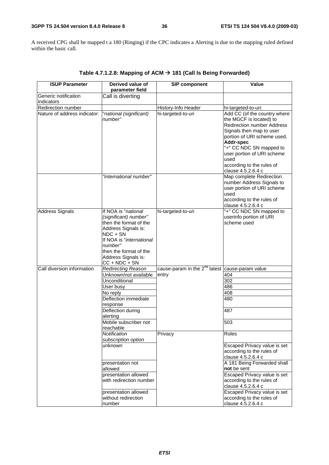A received CPG shall be mapped t a 180 (Ringing) if the CPC indicates a Alerting is due to the mapping ruled defined within the basic call.

| <b>ISUP Parameter</b>              | Derived value of<br>parameter field                                                                                                                                                                                  | <b>SIP component</b>                                 | Value                                                                                                                                                                                                                                                                                    |
|------------------------------------|----------------------------------------------------------------------------------------------------------------------------------------------------------------------------------------------------------------------|------------------------------------------------------|------------------------------------------------------------------------------------------------------------------------------------------------------------------------------------------------------------------------------------------------------------------------------------------|
| Generic notification<br>indicators | Call is diverting                                                                                                                                                                                                    |                                                      |                                                                                                                                                                                                                                                                                          |
| Redirection number                 |                                                                                                                                                                                                                      | History-Info Header                                  | hi-targeted-to-uri:                                                                                                                                                                                                                                                                      |
| Nature of address indicator:       | "national (significant)<br>number"                                                                                                                                                                                   | hi-targeted-to-uri                                   | Add CC (of the country where<br>the MGCF is located) to<br><b>Redirection number Address</b><br>Signals then map to user<br>portion of URI scheme used.<br>Addr-spec<br>"+" CC NDC SN mapped to<br>user portion of URI scheme<br>used<br>according to the rules of<br>clause 4.5.2.6.4 c |
|                                    | "international number"                                                                                                                                                                                               |                                                      | Map complete Redirection<br>number Address Signals to<br>user portion of URI scheme<br>used<br>according to the rules of<br>clause 4.5.2.6.4 c                                                                                                                                           |
| <b>Address Signals</b>             | If NOA is "national<br>(significant) number"<br>then the format of the<br>Address Signals is:<br>NDC + SN<br>If NOA is "international<br>number"<br>then the format of the<br>Address Signals is:<br>$CC + NDC + SN$ | hi-targeted-to-uri                                   | "+" CC NDC SN mapped to<br>userinfo portion of URI<br>scheme used                                                                                                                                                                                                                        |
| Call diversion information         | <b>Redirecting Reason</b>                                                                                                                                                                                            | cause-param in the $2^{nd}$ latest cause-param value |                                                                                                                                                                                                                                                                                          |
|                                    | Unknown/not available                                                                                                                                                                                                | entry                                                | 404                                                                                                                                                                                                                                                                                      |
|                                    | Unconditional                                                                                                                                                                                                        |                                                      | 302                                                                                                                                                                                                                                                                                      |
|                                    | User busy                                                                                                                                                                                                            |                                                      | 486                                                                                                                                                                                                                                                                                      |
|                                    |                                                                                                                                                                                                                      |                                                      |                                                                                                                                                                                                                                                                                          |
|                                    | No reply<br>Deflection immediate<br>response                                                                                                                                                                         |                                                      | 408<br>480                                                                                                                                                                                                                                                                               |
|                                    | Deflection during<br>alerting                                                                                                                                                                                        |                                                      | 487                                                                                                                                                                                                                                                                                      |
|                                    | Mobile subscriber not<br>reachable                                                                                                                                                                                   |                                                      | 503                                                                                                                                                                                                                                                                                      |
|                                    | Notification<br>subscription option                                                                                                                                                                                  | Privacy                                              | Roles                                                                                                                                                                                                                                                                                    |
|                                    | unknown                                                                                                                                                                                                              |                                                      | Escaped Privacy value is set<br>according to the rules of<br>clause 4.5.2.6.4 c                                                                                                                                                                                                          |
|                                    | presentation not<br>allowed                                                                                                                                                                                          |                                                      | A 181 Being Forwarded shall<br>not be sent                                                                                                                                                                                                                                               |
|                                    | presentation allowed<br>with redirection number                                                                                                                                                                      |                                                      | Escaped Privacy value is set<br>according to the rules of<br>clause 4.5.2.6.4 c                                                                                                                                                                                                          |
|                                    | presentation allowed<br>without redirection<br>number                                                                                                                                                                |                                                      | Escaped Privacy value is set<br>according to the rules of<br>clause 4.5.2.6.4 c                                                                                                                                                                                                          |

**Table 4.7.1.2.8: Mapping of ACM 181 (Call Is Being Forwarded)**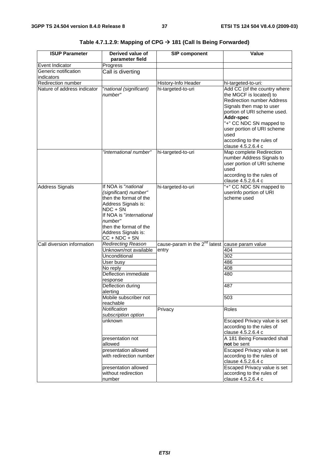| <b>ISUP Parameter</b>       | Derived value of<br>parameter field                                                                                                                                                                                | <b>SIP component</b>                                 | Value                                                                                                                                                                                                                                                                                    |  |
|-----------------------------|--------------------------------------------------------------------------------------------------------------------------------------------------------------------------------------------------------------------|------------------------------------------------------|------------------------------------------------------------------------------------------------------------------------------------------------------------------------------------------------------------------------------------------------------------------------------------------|--|
| Event Indicator             | Progress                                                                                                                                                                                                           |                                                      |                                                                                                                                                                                                                                                                                          |  |
| Generic notification        | Call is diverting                                                                                                                                                                                                  |                                                      |                                                                                                                                                                                                                                                                                          |  |
| indicators                  |                                                                                                                                                                                                                    |                                                      |                                                                                                                                                                                                                                                                                          |  |
| Redirection number          |                                                                                                                                                                                                                    | History-Info Header                                  | hi-targeted-to-uri:                                                                                                                                                                                                                                                                      |  |
| Nature of address indicator | 'national (significant)<br>number"                                                                                                                                                                                 | hi-targeted-to-uri                                   | Add CC (of the country where<br>the MGCF is located) to<br><b>Redirection number Address</b><br>Signals then map to user<br>portion of URI scheme used.<br>Addr-spec<br>"+" CC NDC SN mapped to<br>user portion of URI scheme<br>used<br>according to the rules of<br>clause 4.5.2.6.4 c |  |
|                             | "international number"                                                                                                                                                                                             | hi-targeted-to-uri                                   | Map complete Redirection<br>number Address Signals to<br>user portion of URI scheme<br>used<br>according to the rules of<br>clause 4.5.2.6.4 c                                                                                                                                           |  |
| <b>Address Signals</b>      | If NOA is "national<br>(significant) number"<br>then the format of the<br>Address Signals is:<br>NDC + SN<br>If NOA is "international<br>number"<br>then the format of the<br>Address Signals is:<br>CC + NDC + SN | hi-targeted-to-uri                                   | "+" CC NDC SN mapped to<br>userinfo portion of URI<br>scheme used                                                                                                                                                                                                                        |  |
| Call diversion information  | <b>Redirecting Reason</b>                                                                                                                                                                                          | cause-param in the $2^{nd}$ latest cause param value |                                                                                                                                                                                                                                                                                          |  |
|                             | Unknown/not available                                                                                                                                                                                              | entry                                                | 404                                                                                                                                                                                                                                                                                      |  |
|                             | Unconditional                                                                                                                                                                                                      |                                                      | 302                                                                                                                                                                                                                                                                                      |  |
|                             | User busy                                                                                                                                                                                                          |                                                      | 486                                                                                                                                                                                                                                                                                      |  |
|                             | No reply                                                                                                                                                                                                           |                                                      | 408                                                                                                                                                                                                                                                                                      |  |
|                             | Deflection immediate<br>response                                                                                                                                                                                   |                                                      | 480                                                                                                                                                                                                                                                                                      |  |
|                             | Deflection during<br>alerting                                                                                                                                                                                      |                                                      | 487                                                                                                                                                                                                                                                                                      |  |
|                             | Mobile subscriber not<br>reachable                                                                                                                                                                                 |                                                      | 503                                                                                                                                                                                                                                                                                      |  |
|                             | Notification<br>subscription option                                                                                                                                                                                | Privacy                                              | Roles                                                                                                                                                                                                                                                                                    |  |
|                             | unknown                                                                                                                                                                                                            |                                                      | Escaped Privacy value is set<br>according to the rules of<br>clause 4.5.2.6.4 c                                                                                                                                                                                                          |  |
|                             | presentation not<br>allowed                                                                                                                                                                                        |                                                      | A 181 Being Forwarded shall<br>not be sent                                                                                                                                                                                                                                               |  |
|                             | presentation allowed<br>with redirection number                                                                                                                                                                    |                                                      | Escaped Privacy value is set<br>according to the rules of<br>clause 4.5.2.6.4 c                                                                                                                                                                                                          |  |
|                             | presentation allowed<br>without redirection<br>number                                                                                                                                                              |                                                      | Escaped Privacy value is set<br>according to the rules of<br>clause 4.5.2.6.4 c                                                                                                                                                                                                          |  |

**Table 4.7.1.2.9: Mapping of CPG 181 (Call Is Being Forwarded)**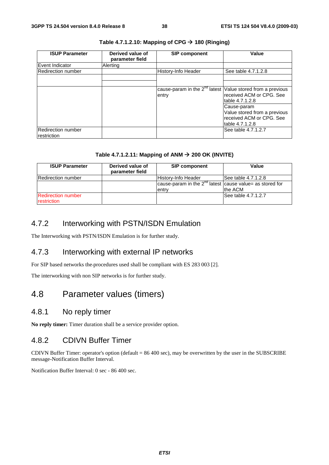| <b>ISUP Parameter</b>             | Derived value of<br>parameter field | <b>SIP component</b>                                                     | Value                                                                                      |
|-----------------------------------|-------------------------------------|--------------------------------------------------------------------------|--------------------------------------------------------------------------------------------|
| Event Indicator                   | Alerting                            |                                                                          |                                                                                            |
| Redirection number                |                                     | <b>History-Info Header</b>                                               | See table 4.7.1.2.8                                                                        |
|                                   |                                     |                                                                          |                                                                                            |
|                                   |                                     |                                                                          |                                                                                            |
|                                   |                                     | cause-param in the $2^{nd}$ latest Value stored from a previous<br>entry | received ACM or CPG. See<br>table 4.7.1.2.8                                                |
|                                   |                                     |                                                                          | Cause-param<br>Value stored from a previous<br>received ACM or CPG. See<br>table 4.7.1.2.8 |
| Redirection number<br>restriction |                                     |                                                                          | See table 4.7.1.2.7                                                                        |

### **Table 4.7.1.2.10: Mapping of CPG 180 (Ringing)**

### Table 4.7.1.2.11: Mapping of ANM  $\rightarrow$  200 OK (INVITE)

| <b>ISUP Parameter</b>                    | Derived value of<br>parameter field | <b>SIP component</b>                                                    | Value                |
|------------------------------------------|-------------------------------------|-------------------------------------------------------------------------|----------------------|
| <b>Redirection number</b>                |                                     | lHistorv-Info Header                                                    | See table 4.7.1.2.8  |
|                                          |                                     | cause-param in the $2^{nd}$ latest cause value = as stored for<br>entry | the ACM              |
| <b>Redirection number</b><br>restriction |                                     |                                                                         | lSee table 4.7.1.2.7 |

### 4.7.2 Interworking with PSTN/ISDN Emulation

The Interworking with PSTN/ISDN Emulation is for further study.

### 4.7.3 Interworking with external IP networks

For SIP based networks the procedures used shall be compliant with ES 283 003 [2].

The interworking with non SIP networks is for further study.

### 4.8 Parameter values (timers)

### 4.8.1 No reply timer

**No reply timer:** Timer duration shall be a service provider option.

### 4.8.2 CDIVN Buffer Timer

CDIVN Buffer Timer: operator's option (default = 86 400 sec), may be overwritten by the user in the SUBSCRIBE message-Notification Buffer Interval.

Notification Buffer Interval: 0 sec - 86 400 sec.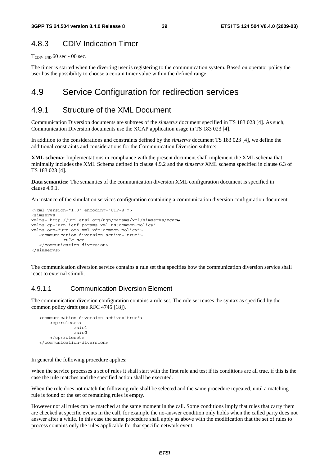### 4.8.3 CDIV Indication Timer

 $T_{CDIV~IND}$  60 sec - 00 sec.

The timer is started when the diverting user is registering to the communication system. Based on operator policy the user has the possibility to choose a certain timer value within the defined range.

### 4.9 Service Configuration for redirection services

### 4.9.1 Structure of the XML Document

Communication Diversion documents are subtrees of the *simservs* document specified in TS 183 023 [4]. As such, Communication Diversion documents use the XCAP application usage in TS 183 023 [4].

In addition to the considerations and constraints defined by the *simservs* document TS 183 023 [4], we define the additional constraints and considerations for the Communication Diversion subtree:

**XML schema:** Implementations in compliance with the present document shall implement the XML schema that minimally includes the XML Schema defined in clause 4.9.2 and the *simservs* XML schema specified in clause 6.3 of TS 183 023 [4].

**Data semantics:** The semantics of the communication diversion XML configuration document is specified in clause 4.9.1.

An instance of the simulation services configuration containing a communication diversion configuration document.

```
<?xml version="1.0" encoding="UTF-8"?> 
<simservs 
xmlns= http://uri.etsi.org/ngn/params/xml/simservs/xcapu
xmlns:cp="urn:ietf:params:xml:ns:common-policy" 
xmlns:ocp="urn:oma:xml:xdm:common-policy"> 
    <communication-diversion active="true"> 
             rule set 
    </communication-diversion> 
</simservs>
```
The communication diversion service contains a rule set that specifies how the communication diversion service shall react to external stimuli.

### 4.9.1.1 Communication Diversion Element

The communication diversion configuration contains a rule set. The rule set reuses the syntax as specified by the common policy draft (see RFC 4745 [18]).

```
 <communication-diversion active="true"> 
     <cp:ruleset> 
               rule1 
               rule2 
     </cp:ruleset> 
 </communication-diversion>
```
In general the following procedure applies:

When the service processes a set of rules it shall start with the first rule and test if its conditions are all true, if this is the case the rule matches and the specified action shall be executed.

When the rule does not match the following rule shall be selected and the same procedure repeated, until a matching rule is found or the set of remaining rules is empty.

However not all rules can be matched at the same moment in the call. Some conditions imply that rules that carry them are checked at specific events in the call, for example the no-answer condition only holds when the called party does not answer after a while. In this case the same procedure shall apply as above with the modification that the set of rules to process contains only the rules applicable for that specific network event.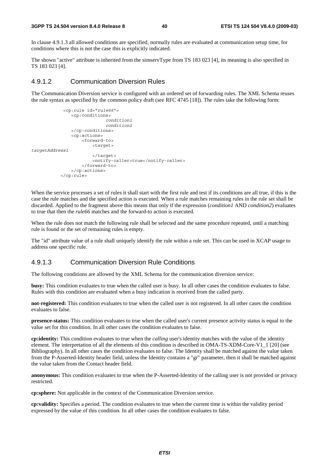In clause 4.9.1.3 all allowed conditions are specified, normally rules are evaluated at communication setup time, for conditions where this is not the case this is explicitly indicated.

The shown "active" attribute is inherited from the simservType from TS 183 023 [4], its meaning is also specified in TS 183 023 [4].

### 4.9.1.2 Communication Diversion Rules

The Communication Diversion service is configured with an ordered set of forwarding rules. The XML Schema reuses the rule syntax as specified by the common policy draft (see RFC 4745 [18]). The rules take the following form:

```
 <cp:rule id="rule66"> 
                  <cp:conditions> 
                                 condition1 
                                 condition2 
                  </cp:conditions> 
                  <cp:actions> 
                       <forward-to> 
                           <target> 
targetAddress1 
                           </target> 
                           <notify-caller>true</notify-caller> 
                       </forward-to> 
                  </cp:actions> 
             </cp:rule>
```
When the service processes a set of rules it shall start with the first rule and test if its conditions are all true, if this is the case the rule matches and the specified action is executed. When a rule matches remaining rules in the rule set shall be discarded. Applied to the fragment above this means that only if the expression (*condition1* AND *condition2*) evaluates to true that then the *rule66* matches and the forward-to action is executed.

When the rule does not match the following rule shall be selected and the same procedure repeated, until a matching rule is found or the set of remaining rules is empty.

The "id" attribute value of a rule shall uniquely identify the rule within a rule set. This can be used in XCAP usage to address one specific rule.

#### 4.9.1.3 Communication Diversion Rule Conditions

The following conditions are allowed by the XML Schema for the communication diversion service:

**busy:** This condition evaluates to true when the called user is busy. In all other cases the condition evaluates to false. Rules with this condition are evaluated when a busy indication is received from the called party.

**not-registered:** This condition evaluates to true when the called user is not registered. In all other cases the condition evaluates to false.

**presence-status:** This condition evaluates to true when the called user's current presence activity status is equal to the value set for this condition. In all other cases the condition evaluates to false.

**cp:identity:** This condition evaluates to true when the *calling* user's identity matches with the value of the identity element. The interpretation of all the elements of this condition is described in OMA-TS-XDM-Core-V1\_1 [20] (see Bibliography). In all other cases the condition evaluates to false. The Identity shall be matched against the value taken from the P-Asserted-Identity header field, unless the Identity contains a "gr" parameter, then it shall be matched against the value taken from the Contact header field.

**anonymous:** This condition evaluates to true when the P-Asserted-Identity of the calling user is not provided or privacy restricted.

**cp:sphere:** Not applicable in the context of the Communication Diversion service.

**cp:validity:** Specifies a period. The condition evaluates to true when the current time is within the validity period expressed by the value of this condition. In all other cases the condition evaluates to false.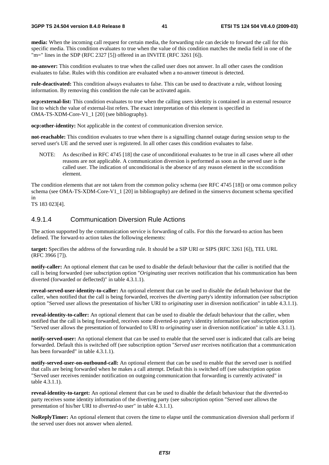**media:** When the incoming call request for certain media, the forwarding rule can decide to forward the call for this specific media. This condition evaluates to true when the value of this condition matches the media field in one of the  $\text{m}$ =" lines in the SDP (RFC 2327 [5]) offered in an INVITE (RFC 3261 [6]).

**no-answer:** This condition evaluates to true when the called user does not answer. In all other cases the condition evaluates to false. Rules with this condition are evaluated when a no-answer timeout is detected.

**rule-deactivated:** This condition always evaluates to false. This can be used to deactivate a rule, without loosing information. By removing this condition the rule can be activated again.

**ocp:external-list:** This condition evaluates to true when the calling users identity is contained in an external resource list to which the value of external-list refers. The exact interpretation of this element is specified in OMA-TS-XDM-Core-V1\_1 [20] (see bibliography).

**ocp:other-identity:** Not applicable in the context of communication diversion service.

**not-reachable:** This condition evaluates to true when there is a signalling channel outage during session setup to the served user's UE and the served user is registered. In all other cases this condition evaluates to false.

NOTE: As described in RFC 4745 [18] the case of unconditional evaluates to be true in all cases where all other reasons are not applicable. A communication diversion is performed as soon as the served user is the called user. The indication of unconditional is the absence of any reason element in the ss:condition element.

The condition elements that are not taken from the common policy schema (see RFC 4745 [18]) or oma common policy schema (see OMA-TS-XDM-Core-V1\_1 [20] in bibliography) are defined in the simservs document schema specified in

TS 183 023[4].

### 4.9.1.4 Communication Diversion Rule Actions

The action supported by the communication service is forwarding of calls. For this the forward-to action has been defined. The forward-to action takes the following elements:

**target:** Specifies the address of the forwarding rule. It should be a SIP URI or SIPS (RFC 3261 [6]), TEL URL (RFC 3966 [7]).

**notify-caller:** An optional element that can be used to disable the default behaviour that the caller is notified that the call is being forwarded (see subscription option "*Originating* user receives notification that his communication has been diverted (forwarded or deflected)" in table 4.3.1.1).

**reveal-served-user-identity-to-caller:** An optional element that can be used to disable the default behaviour that the caller, when notified that the call is being forwarded, receives the *diverting* party's identity information (see subscription option "Served user allows the presentation of his/her URI to *originating* user in diversion notification" in table 4.3.1.1).

**reveal-identity-to-caller:** An optional element that can be used to disable the default behaviour that the caller, when notified that the call is being forwarded, receives some diverted-to party's identity information (see subscription option "Served user allows the presentation of forwarded to URI to *originating* user in diversion notification" in table 4.3.1.1).

**notify-served-user:** An optional element that can be used to enable that the served user is indicated that calls are being forwarded. Default this is switched off (see subscription option "*Served user* receives notification that a communication has been forwarded" in table 4.3.1.1).

**notify-served-user-on-outbound-call:** An optional element that can be used to enable that the served user is notified that calls are being forwarded when he makes a call attempt. Default this is switched off (see subscription option "Served user receives reminder notification on outgoing communication that forwarding is currently activated" in table 4.3.1.1).

**reveal-identity-to-target:** An optional element that can be used to disable the default behaviour that the diverted-to party receives some identity information of the diverting party (see subscription option "Served user allows the presentation of his/her URI to *diverted-to* user" in table 4.3.1.1).

**NoReplyTimer:** An optional element that covers the time to elapse until the communication diversion shall perform if the served user does not answer when alerted.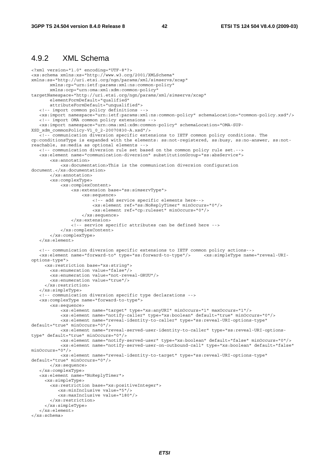### 4.9.2 XML Schema

```
<?xml version="1.0" encoding="UTF-8"?> 
<xs:schema xmlns:xs="http://www.w3.org/2001/XMLSchema" 
xmlns:ss="http://uri.etsi.org/ngn/params/xml/simservs/xcap" 
        xmlns:cp="urn:ietf:params:xml:ns:common-policy" 
        xmlns:ocp="urn:oma:xml:xdm:common-policy" 
targetNamespace="http://uri.etsi.org/ngn/params/xml/simservs/xcap" 
        elementFormDefault="qualified" 
        attributeFormDefault="unqualified"> 
    <!-- import common policy definitions --> 
    <xs:import namespace="urn:ietf:params:xml:ns:common-policy" schemaLocation="common-policy.xsd"/> 
    <!-- import OMA common policy extensions --> 
    <xs:import namespace="urn:oma:xml:xdm:common-policy" schemaLocation="OMA-SUP-
XSD_xdm_commonPolicy-V1_0_2-20070830-A.xsd"/> 
   <!-- communication diversion specific extensions to IETF common policy conditions. The 
cp:conditionsType is expanded with the elements: ss:not-registered, ss:busy, ss:no-answer, ss:not-
reachable, ss:media as optional elements --> 
    <!-- communication diversion rule set based on the common policy rule set.--> 
    <xs:element name="communication-diversion" substitutionGroup="ss:absService"> 
        <xs:annotation> 
            <xs:documentation>This is the communication diversion configuration 
document.</xs:documentation> 
        </xs:annotation> 
        <xs:complexType> 
            <xs:complexContent> 
                <xs:extension base="ss:simservType"> 
                     <xs:sequence> 
                         <!-- add service specific elements here--> 
                         <xs:element ref="ss:NoReplyTimer" minOccurs="0"/> 
                         <xs:element ref="cp:ruleset" minOccurs="0"/> 
                     </xs:sequence> 
                </xs:extension> 
                <!-- service specific attributes can be defined here --> 
            </xs:complexContent> 
        </xs:complexType> 
    </xs:element> 
    <!-- communication diversion specific extensions to IETF common policy actions--> 
    <xs:element name="forward-to" type="ss:forward-to-type"/> <xs:simpleType name="reveal-URI-
options-type"> 
     <xs:restriction base="xs:string"> 
        <xs:enumeration value="false"/> 
        <xs:enumeration value="not-reveal-GRUU"/> 
        <xs:enumeration value="true"/> 
      </xs:restriction> 
    </xs:simpleType> 
    <!-- communication diversion specific type declarations --> 
    <xs:complexType name="forward-to-type"> 
        <xs:sequence> 
            <xs:element name="target" type="xs:anyURI" minOccurs="1" maxOccurs="1"/> 
            <xs:element name="notify-caller" type="xs:boolean" default="true" minOccurs="0"/> 
            <xs:element name="reveal-identity-to-caller" type="ss:reveal-URI-options-type" 
default="true" minOccurs="0"/> 
            <xs:element name="reveal-served-user-identity-to-caller" type="ss:reveal-URI-options-
type" default="true" minOccurs="0"/> 
            <xs:element name="notify-served-user" type="xs:boolean" default="false" minOccurs="0"/> 
            <xs:element name="notify-served-user-on-outbound-call" type="xs:boolean" default="false" 
minOccurs="0"/> 
            <xs:element name="reveal-identity-to-target" type="ss:reveal-URI-options-type" 
default="true" minOccurs="0"/> 
        </xs:sequence> 
    </xs:complexType> 
    <xs:element name="NoReplyTimer"> 
      <xs:simpleType> 
        <xs:restriction base="xs:positiveInteger"> 
           <xs:minInclusive value="5"/> 
           <xs:maxInclusive value="180"/> 
        </xs:restriction> 
      </xs:simpleType> 
    </xs:element> 
</xs:schema>
```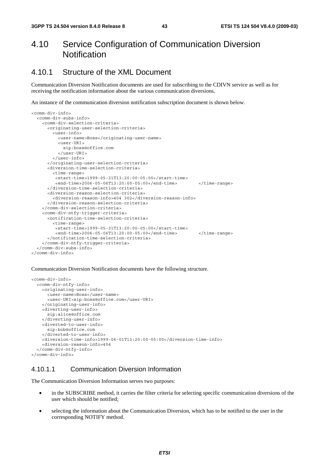### 4.10 Service Configuration of Communication Diversion **Notification**

### 4.10.1 Structure of the XML Document

Communication Diversion Notification documents are used for subscribing to the CDIVN service as well as for receiving the notification information about the various communication diversions.

An instance of the communication diversion notification subscription document is shown below.

```
<comm-div-info> 
   <comm-div-subs-info> 
     <comm-div-selection-criteria> 
       <originating-user-selection-criteria> 
         <user-info> 
           <user-name>Boss</originating-user-name> 
           <user-URI> 
             sip:boss@office.com 
           </user-URI> 
         </user-info> 
       </originating-user-selection-criteria> 
       <diversion-time-selection-criteria> 
         <time-range> 
          <start-time>1999-05-31T13:20:00-05:00</start-time> 
          <end-time>2006-05-06T13:20:00-05:00</end-time> </time-range> 
       </diversion-time-selection-criteria> 
       <diversion-reason-selection-criteria> 
         <diversion-reason-info>404 302</diversion-reason-info> 
       </diversion-reason-selection-criteria> 
     </comm-div-selection-criteria> 
     <comm-div-ntfy-trigger-criteria> 
       <notification-time-selection-criteria> 
         <time-range> 
          <start-time>1999-05-31T13:20:00-05:00</start-time> 
         <end-time>2006-05-06T13:20:00-05:00</end-time> </time-range>
       </notification-time-selection-criteria> 
     </comm-div-ntfy-trigger-criteria> 
   </comm-div-subs-info> 
</comm-div-info>
```
Communication Diversion Notification documents have the following structure.

```
<comm-div-info> 
   <comm-div-ntfy-info> 
     <originating-user-info> 
       <user-name>Boss</user-name> 
       <user-URI>sip:boss@office.com</user-URI> 
     </originating-user-info> 
     <diverting-user-info> 
       sip:alice@office.com 
     </diverting-user-info> 
     <diverted-to-user-info> 
       sip:bob@office.com 
     </diverted-to-user-info> 
     <diversion-time-info>1999-06-01T13:20:00-05:00</diversion-time-info> 
     <diversion-reason-info>404 
   </comm-div-ntfy-info> 
</comm-div-info>
```
### 4.10.1.1 Communication Diversion Information

The Communication Diversion Information serves two purposes:

- in the SUBSCRIBE method, it carries the filter criteria for selecting specific communication diversions of the user which should be notified;
- selecting the information about the Communication Diversion, which has to be notified to the user in the corresponding NOTIFY method.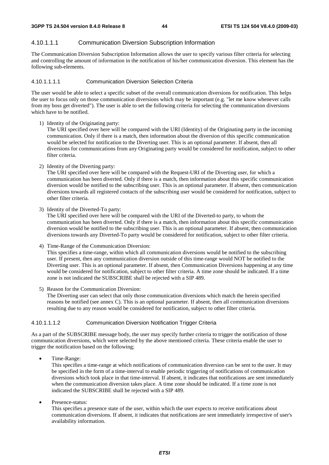#### 4.10.1.1.1 Communication Diversion Subscription Information

The Communication Diversion Subscription Information allows the user to specify various filter criteria for selecting and controlling the amount of information in the notification of his/her communication diversion. This element has the following sub-elements.

#### 4.10.1.1.1.1 Communication Diversion Selection Criteria

The user would be able to select a specific subset of the overall communication diversions for notification. This helps the user to focus only on those communication diversions which may be important (e.g. "let me know whenever calls from my boss get diverted"). The user is able to set the following criteria for selecting the communication diversions which have to be notified.

1) Identity of the Originating party:

The URI specified over here will be compared with the URI (Identity) of the Originating party in the incoming communication. Only if there is a match, then information about the diversion of this specific communication would be selected for notification to the Diverting user. This is an optional parameter. If absent, then all diversions for communications from any Originating party would be considered for notification, subject to other filter criteria.

2) Identity of the Diverting party:

The URI specified over here will be compared with the Request-URI of the Diverting user, for which a communication has been diverted. Only if there is a match, then information about this specific communication diversion would be notified to the subscribing user. This is an optional parameter. If absent, then communication diversions towards all registered contacts of the subscribing user would be considered for notification, subject to other filter criteria.

3) Identity of the Diverted-To party:

The URI specified over here will be compared with the URI of the Diverted-to party, to whom the communication has been diverted. Only if there is a match, then information about this specific communication diversion would be notified to the subscribing user. This is an optional parameter. If absent, then communication diversions towards any Diverted-To party would be considered for notification, subject to other filter criteria.

4) Time-Range of the Communication Diversion:

This specifies a time-range, within which all communication diversions would be notified to the subscribing user. If present, then any communication diversion outside of this time-range would NOT be notified to the Diverting user. This is an optional parameter. If absent, then Communication Diversions happening at any time would be considered for notification, subject to other filter criteria. A time zone should be indicated. If a time zone is not indicated the SUBSCRIBE shall be rejected with a SIP 489.

5) Reason for the Communication Diversion:

The Diverting user can select that only those communication diversions which match the herein specified reasons be notified (see annex C). This is an optional parameter. If absent, then all communication diversions resulting due to any reason would be considered for notification, subject to other filter criteria.

#### 4.10.1.1.1.2 Communication Diversion Notification Trigger Criteria

As a part of the SUBSCRIBE message body, the user may specify further criteria to trigger the notification of those communication diversions, which were selected by the above mentioned criteria. These criteria enable the user to trigger the notification based on the following;

• Time-Range:

This specifies a time-range at which notifications of communication diversion can be sent to the user. It may be specified in the form of a time-interval to enable periodic triggering of notifications of communication diversions which took place in that time-interval. If absent, it indicates that notifications are sent immediately when the communication diversion takes place. A time zone should be indicated. If a time zone is not indicated the SUBSCRIBE shall be rejected with a SIP 489.

Presence-status:

This specifies a presence state of the user, within which the user expects to receive notifications about communication diversions. If absent, it indicates that notifications are sent immediately irrespective of user's availability information.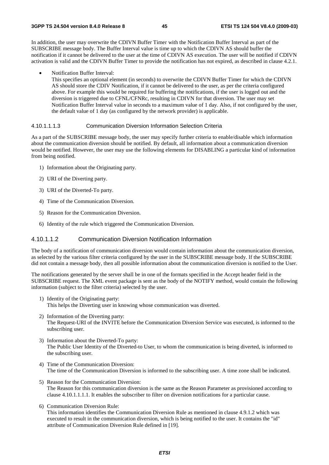In addition, the user may overwrite the CDIVN Buffer Timer with the Notification Buffer Interval as part of the SUBSCRIBE message body. The Buffer Interval value is time up to which the CDIVN AS should buffer the notification if it cannot be delivered to the user at the time of CDIVN AS execution. The user will be notified if CDIVN activation is valid and the CDIVN Buffer Timer to provide the notification has not expired, as described in clause 4.2.1.

• Notification Buffer Interval:

This specifies an optional element (in seconds) to overwrite the CDIVN Buffer Timer for which the CDIVN AS should store the CDIV Notification, if it cannot be delivered to the user, as per the criteria configured above. For example this would be required for buffering the notifications, if the user is logged out and the diversion is triggered due to CFNL/CFNRc, resulting in CDIVN for that diversion. The user may set Notification Buffer Interval value in seconds to a maximum value of 1 day. Also, if not configured by the user, the default value of 1 day (as configured by the network provider) is applicable.

#### 4.10.1.1.1.3 Communication Diversion Information Selection Criteria

As a part of the SUBSCRIBE message body, the user may specify further criteria to enable/disable which information about the communication diversion should be notified. By default, all information about a communication diversion would be notified. However, the user may use the following elements for DISABLING a particular kind of information from being notified.

- 1) Information about the Originating party.
- 2) URI of the Diverting party.
- 3) URI of the Diverted-To party.
- 4) Time of the Communication Diversion.
- 5) Reason for the Communication Diversion.
- 6) Identity of the rule which triggered the Communication Diversion.

#### 4.10.1.1.2 Communication Diversion Notification Information

The body of a notification of communication diversion would contain information about the communication diversion, as selected by the various filter criteria configured by the user in the SUBSCRIBE message body. If the SUBSCRIBE did not contain a message body, then all possible information about the communication diversion is notified to the User.

The notifications generated by the server shall be in one of the formats specified in the Accept header field in the SUBSCRIBE request. The XML event package is sent as the body of the NOTIFY method, would contain the following information (subject to the filter criteria) selected by the user.

- 1) Identity of the Originating party: This helps the Diverting user in knowing whose communication was diverted.
- 2) Information of the Diverting party: The Request-URI of the INVITE before the Communication Diversion Service was executed, is informed to the subscribing user.
- 3) Information about the Diverted-To party: The Public User Identity of the Diverted-to User, to whom the communication is being diverted, is informed to the subscribing user.
- 4) Time of the Communication Diversion: The time of the Communication Diversion is informed to the subscribing user. A time zone shall be indicated.
- 5) Reason for the Communication Diversion: The Reason for this communication diversion is the same as the Reason Parameter as provisioned according to clause 4.10.1.1.1.1. It enables the subscriber to filter on diversion notifications for a particular cause.
- 6) Communication Diversion Rule: This information identifies the Communication Diversion Rule as mentioned in clause 4.9.1.2 which was executed to result in the communication diversion, which is being notified to the user. It contains the "id" attribute of Communication Diversion Rule defined in [19].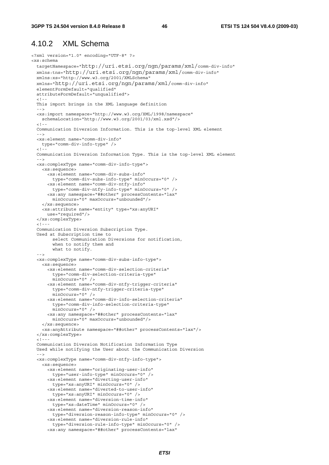### 4.10.2 XML Schema

```
<?xml version="1.0" encoding="UTF-8" ?> 
<xs:schema 
  targetNamespace="http://uri.etsi.org/ngn/params/xml/comm-div-info" 
  xmlns:tns="http://uri.etsi.org/ngn/params/xml/comm-div-info" 
  xmlns:xs="http://www.w3.org/2001/XMLSchema" 
  xmlns="http://uri.etsi.org/ngn/params/xml/comm-div-info" 
  elementFormDefault="qualified" 
  attributeFormDefault="unqualified"> 
  \lt ! -
  This import brings in the XML language definition 
   --> 
   <xs:import namespace="http://www.w3.org/XML/1998/namespace" 
    schemaLocation="http://www.w3.org/2001/03/xml.xsd"/> 
  \leq 1 - Communication Diversion Information. This is the top-level XML element 
- - > <xs:element name="comm-div-info" 
    type="comm-div-info-type" /> 
  \lt ! - Communication Diversion Information Type. This is the top-level XML element 
- - > <xs:complexType name="comm-div-info-type"> 
     <xs:sequence> 
       <xs:element name="comm-div-subs-info" 
         type="comm-div-subs-info-type" minOccurs="0" /> 
       <xs:element name="comm-div-ntfy-info" 
        type="comm-div-ntfy-info-type" minOccurs="0" /> 
       <xs:any namespace="##other" processContents="lax" 
         minOccurs="0" maxOccurs="unbounded"/> 
     </xs:sequence> 
     <xs:attribute name="entity" type="xs:anyURI" 
      use="required"/> 
   </xs:complexType> 
  <! - - -
   Communication Diversion Subscription Type. 
  Used at Subscription time to 
         select Communication Diversions for notification, 
         when to notify them and 
        what to notify.
   --> 
  <xs:complexType name="comm-div-subs-info-type"> 
     <xs:sequence> 
       <xs:element name="comm-div-selection-criteria" 
         type="comm-div-selection-criteria-type" 
         minOccurs="0" /> 
       <xs:element name="comm-div-ntfy-trigger-criteria" 
         type="comm-div-ntfy-trigger-criteria-type" 
         minOccurs="0" /> 
       <xs:element name="comm-div-info-selection-criteria" 
         type="comm-div-info-selection-criteria-type" 
         minOccurs="0" /> 
       <xs:any namespace="##other" processContents="lax" 
         minOccurs="0" maxOccurs="unbounded"/> 
     </xs:sequence> 
     <xs:anyAttribute namespace="##other" processContents="lax"/> 
   </xs:complexType> 
  \leq ! - - -
  Communication Diversion Notification Information Type 
  Used while notifying the User about the Communication Diversion 
  - - \sim <xs:complexType name="comm-div-ntfy-info-type"> 
     <xs:sequence> 
       <xs:element name="originating-user-info" 
         type="user-info-type" minOccurs="0" /> 
       <xs:element name="diverting-user-info" 
        type="xs:anyURI" minOccurs="0" /> 
       <xs:element name="diverted-to-user-info" 
         type="xs:anyURI" minOccurs="0" /> 
       <xs:element name="diversion-time-info" 
        type="xs:dateTime" minOccurs="0" /> 
       <xs:element name="diversion-reason-info" 
        type="diversion-reason-info-type" minOccurs="0" /> 
       <xs:element name="diversion-rule-info" 
         type="diversion-rule-info-type" minOccurs="0" /> 
       <xs:any namespace="##other" processContents="lax"
```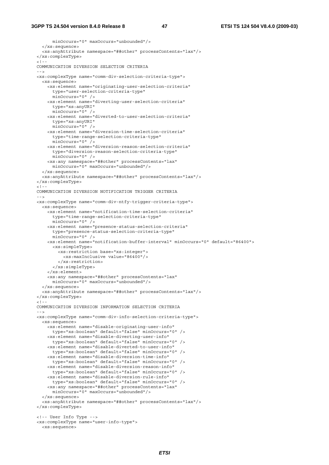minOccurs="0" maxOccurs="unbounded"/> </xs:sequence> <xs:anyAttribute namespace="##other" processContents="lax"/> </xs:complexType> <!-- COMMUNICATION DIVERSION SELECTION CRITERIA --> <xs:complexType name="comm-div-selection-criteria-type"> <xs:sequence> <xs:element name="originating-user-selection-criteria" type="user-selection-criteria-type" minOccurs="0" /> <xs:element name="diverting-user-selection-criteria" type="xs:anyURI" minOccurs="0" /> <xs:element name="diverted-to-user-selection-criteria" type="xs:anyURI" minOccurs="0" /> <xs:element name="diversion-time-selection-criteria" type="time-range-selection-criteria-type"  $\frac{11}{2}$  minOccurs="0" /> <xs:element name="diversion-reason-selection-criteria" type="diversion-reason-selection-criteria-type" minOccurs="0" /> <xs:any namespace="##other" processContents="lax" minOccurs="0" maxOccurs="unbounded"/> </xs:sequence> <xs:anyAttribute namespace="##other" processContents="lax"/> </xs:complexType>  $-1$   $-$  COMMUNICATION DIVERSION NOTIFICATION TRIGGER CRITERIA  $-$  -  $>$  <xs:complexType name="comm-div-ntfy-trigger-criteria-type"> <xs:sequence> <xs:element name="notification-time-selection-criteria" type="time-range-selection-criteria-type" minOccurs="0" /> <xs:element name="presence-status-selection-criteria" type="presence-status-selection-criteria-type" minOccurs="0" /> <xs:element name="notification-buffer-interval" minOccurs="0" default="86400"> <xs:simpleType> <xs:restriction base="xs:integer"> <xs:maxInclusive value="86400"/> </xs:restriction> </xs:simpleType> </xs:element> <xs:any namespace="##other" processContents="lax" minOccurs="0" maxOccurs="unbounded"/> </xs:sequence> <xs:anyAttribute namespace="##other" processContents="lax"/> </xs:complexType>  $-1 - -$  COMMUNICATION DIVERSION INFORMATION SELECTION CRITERIA --> <xs:complexType name="comm-div-info-selection-criteria-type"> <xs:sequence> <xs:element name="disable-originating-user-info" type="xs:boolean" default="false" minOccurs="0" /> <xs:element name="disable-diverting-user-info" type="xs:boolean" default="false" minOccurs="0" /> <xs:element name="disable-diverted-to-user-info" type="xs:boolean" default="false" minOccurs="0" /> <xs:element name="disable-diversion-time-info" type="xs:boolean" default="false" minOccurs="0" /> <xs:element name="disable-diversion-reason-info" type="xs:boolean" default="false" minOccurs="0" /> <xs:element name="disable-diversion-rule-info" type="xs:boolean" default="false" minOccurs="0" /> <xs:any namespace="##other" processContents="lax" minOccurs="0" maxOccurs="unbounded"/> </xs:sequence> <xs:anyAttribute namespace="##other" processContents="lax"/> </xs:complexType> <!-- User Info Type --> <xs:complexType name="user-info-type"> <xs:sequence>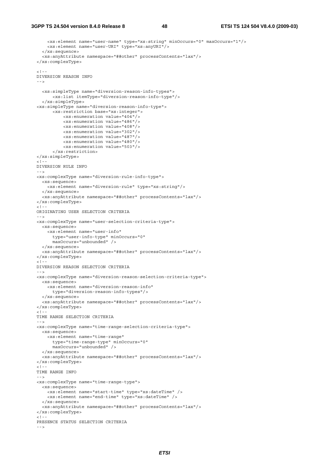```
 <xs:element name="user-name" type="xs:string" minOccurs="0" maxOccurs="1"/> 
       <xs:element name="user-URI" type="xs:anyURI"/> 
     </xs:sequence> 
     <xs:anyAttribute namespace="##other" processContents="lax"/> 
  </xs:complexType> 
 \geq 1 = \approx DIVERSION REASON INFO 
 -- <xs:simpleType name="diversion-reason-info-types"> 
         <xs:list itemType="diversion-reason-info-type"/> 
     </xs:simpleType> 
  <xs:simpleType name="diversion-reason-info-type"> 
         <xs:restriction base="xs:integer"> 
             <xs:enumeration value="404"/> 
             <xs:enumeration value="486"/> 
             <xs:enumeration value="408"/> 
             <xs:enumeration value="302"/> 
             <xs:enumeration value="487"/> 
             <xs:enumeration value="480"/> 
             <xs:enumeration value="503"/> 
         </xs:restriction> 
  </xs:simpleType> 
 -1 - - DIVERSION RULE INFO 
   --> 
  <xs:complexType name="diversion-rule-info-type"> 
    <xs:sequence> 
       <xs:element name="diversion-rule" type="xs:string"/> 
     </xs:sequence> 
     <xs:anyAttribute namespace="##other" processContents="lax"/> 
  </xs:complexType> 
 < 1 - - ORIGINATING USER SELECTION CRITERIA 
- - \rightarrow <xs:complexType name="user-selection-criteria-type"> 
    <xs:sequence> 
       <xs:element name="user-info" 
         type="user-info-type" minOccurs="0" 
         maxOccurs="unbounded" /> 
     </xs:sequence> 
     <xs:anyAttribute namespace="##other" processContents="lax"/> 
  </xs:complexType> 
 \lt ! - -
  DIVERSION REASON SELECTION CRITERIA 
   --> 
  <xs:complexType name="diversion-reason-selection-criteria-type"> 
     <xs:sequence> 
      <xs:element name="diversion-reason-info" 
         type="diversion-reason-info-types"/> 
     </xs:sequence> 
     <xs:anyAttribute namespace="##other" processContents="lax"/> 
  </xs:complexType> 
 \frac{1}{5} = \frac{1}{5} TIME RANGE SELECTION CRITERIA 
   --> 
  <xs:complexType name="time-range-selection-criteria-type"> 
     <xs:sequence> 
       <xs:element name="time-range" 
         type="time-range-type" minOccurs="0" 
         maxOccurs="unbounded" /> 
     </xs:sequence> 
     <xs:anyAttribute namespace="##other" processContents="lax"/> 
  </xs:complexType> 
 -1 - - TIME RANGE INFO 
  -- <xs:complexType name="time-range-type"> 
     <xs:sequence> 
      <xs:element name="start-time" type="xs:dateTime" /> 
       <xs:element name="end-time" type="xs:dateTime" /> 
    </xs:sequence> 
     <xs:anyAttribute namespace="##other" processContents="lax"/> 
  </xs:complexType> 
  \lt ! - -
  PRESENCE STATUS SELECTION CRITERIA 
   -->
```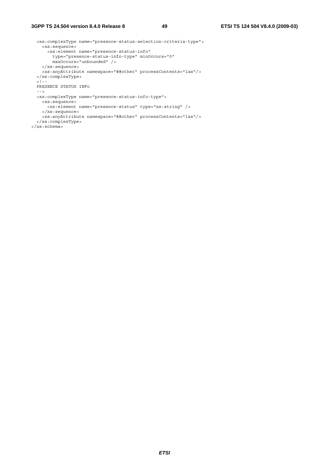#### **3GPP TS 24.504 version 8.4.0 Release 8 49 ETSI TS 124 504 V8.4.0 (2009-03)**

```
 <xs:complexType name="presence-status-selection-criteria-type"> 
    <xs:sequence> 
      <xs:element name="presence-status-info" 
 type="presence-status-info-type" minOccurs="0" 
 maxOccurs="unbounded" /> 
    </xs:sequence> 
     <xs:anyAttribute namespace="##other" processContents="lax"/> 
  </xs:complexType> 
  2 + - PRESENCE STATUS INFo 
  --&> <xs:complexType name="presence-status-info-type"> 
    <xs:sequence> 
      <xs:element name="presence-status" type="xs:string" /> 
    </xs:sequence> 
     <xs:anyAttribute namespace="##other" processContents="lax"/> 
   </xs:complexType> 
</xs:schema>
```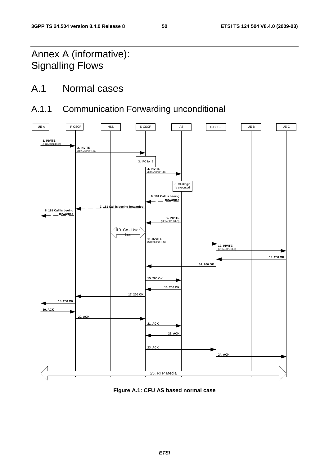## Annex A (informative): Signalling Flows

## A.1 Normal cases

## A.1.1 Communication Forwarding unconditional



**Figure A.1: CFU AS based normal case**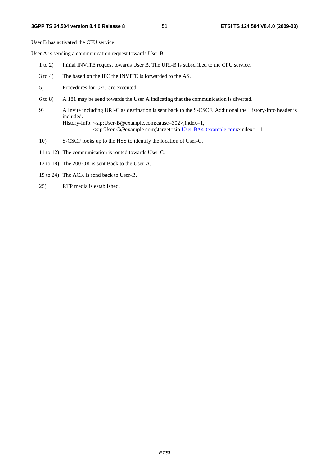User B has activated the CFU service.

User A is sending a communication request towards User B:

- 1 to 2) Initial INVITE request towards User B. The URI-B is subscribed to the CFU service.
- 3 to 4) The based on the IFC the INVITE is forwarded to the AS.
- 5) Procedures for CFU are executed.
- 6 to 8) A 181 may be send towards the User A indicating that the communication is diverted.
- 9) A Invite including URI-C as destination is sent back to the S-CSCF. Additional the History-Info header is included. History-Info: <sip:User-B@example.com;cause=302>;index=1, <sip:User-C@example.com;\target=sip:User-B%40example.com>index=1.1.
- 10) S-CSCF looks up to the HSS to identify the location of User-C.
- 11 to 12) The communication is routed towards User-C.
- 13 to 18) The 200 OK is sent Back to the User-A.
- 19 to 24) The ACK is send back to User-B.
- 25) RTP media is established.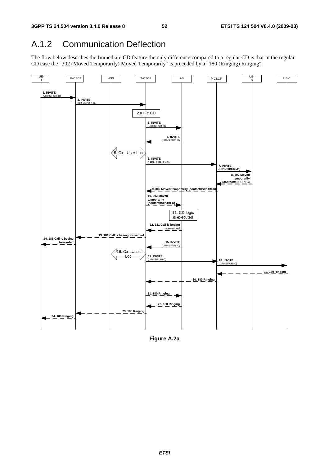## A.1.2 Communication Deflection

The flow below describes the Immediate CD feature the only difference compared to a regular CD is that in the regular CD case the "302 (Moved Temporarily) Moved Temporarily" is preceded by a "180 (Ringing) Ringing".



**Figure A.2a**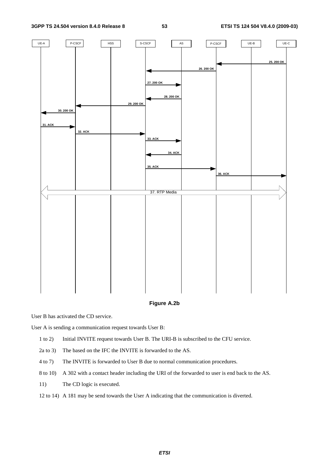

**Figure A.2b** 

User B has activated the CD service.

User A is sending a communication request towards User B:

- 1 to 2) Initial INVITE request towards User B. The URI-B is subscribed to the CFU service.
- 2a to 3) The based on the IFC the INVITE is forwarded to the AS.
- 4 to 7) The INVITE is forwarded to User B due to normal communication procedures.
- 8 to 10) A 302 with a contact header including the URI of the forwarded to user is end back to the AS.
- 11) The CD logic is executed.
- 12 to 14) A 181 may be send towards the User A indicating that the communication is diverted.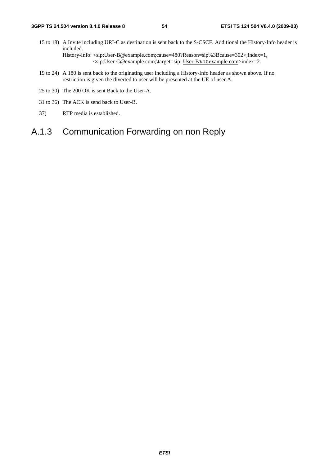- 15 to 18) A Invite including URI-C as destination is sent back to the S-CSCF. Additional the History-Info header is included. History-Info: <sip:User-B@example.com;cause=480?Reason=sip%3Bcause=302>;index=1, <sip:User-C@example.com;\target=sip: User-B%40example.com>index=2.
- 19 to 24) A 180 is sent back to the originating user including a History-Info header as shown above. If no restriction is given the diverted to user will be presented at the UE of user A.
- 25 to 30) The 200 OK is sent Back to the User-A.
- 31 to 36) The ACK is send back to User-B.
- 37) RTP media is established.

## A.1.3 Communication Forwarding on non Reply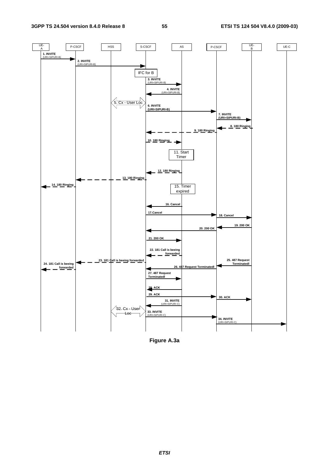

**Figure A.3a**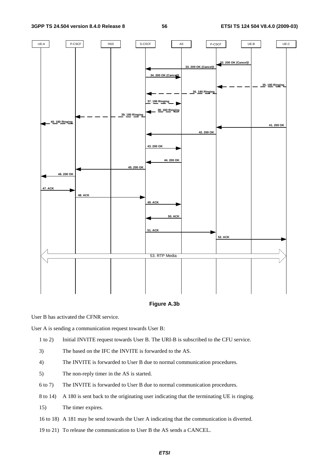

#### **Figure A.3b**

User B has activated the CFNR service.

User A is sending a communication request towards User B:

- 1 to 2) Initial INVITE request towards User B. The URI-B is subscribed to the CFU service.
- 3) The based on the IFC the INVITE is forwarded to the AS.
- 4) The INVITE is forwarded to User B due to normal communication procedures.
- 5) The non-reply timer in the AS is started.
- 6 to 7) The INVITE is forwarded to User B due to normal communication procedures.
- 8 to 14) A 180 is sent back to the originating user indicating that the terminating UE is ringing.
- 15) The timer expires.
- 16 to 18) A 181 may be send towards the User A indicating that the communication is diverted.
- 19 to 21) To release the communication to User B the AS sends a CANCEL.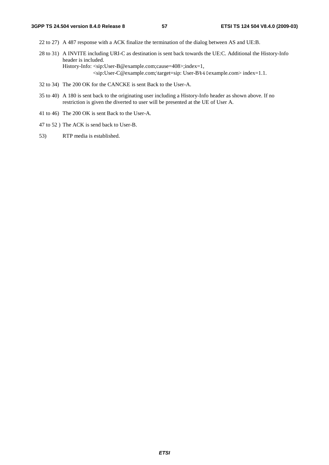- 22 to 27) A 487 response with a ACK finalize the termination of the dialog between AS and UE:B.
- 28 to 31) A INVITE including URI-C as destination is sent back towards the UE:C. Additional the History-Info header is included. History-Info: <sip:User-B@example.com;cause=408>;index=1, <sip:User-C@example.com;\target=sip: User-B%40example.com> index=1.1.
- 32 to 34) The 200 OK for the CANCKE is sent Back to the User-A.
- 35 to 40) A 180 is sent back to the originating user including a History-Info header as shown above. If no restriction is given the diverted to user will be presented at the UE of User A.
- 41 to 46) The 200 OK is sent Back to the User-A.
- 47 to 52 ) The ACK is send back to User-B.
- 53) RTP media is established.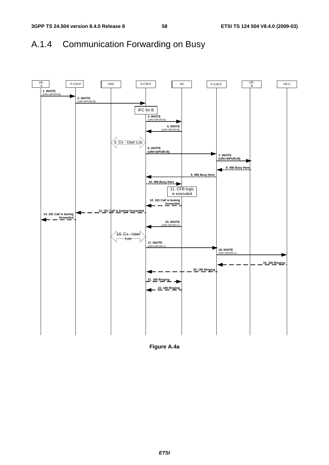## A.1.4 Communication Forwarding on Busy



**Figure A.4a**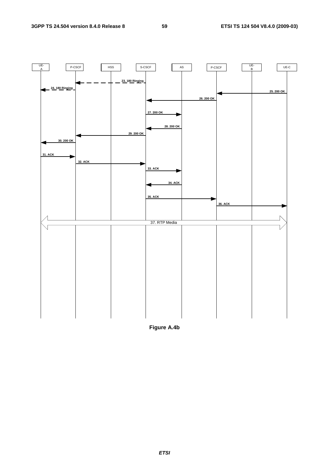

**Figure A.4b**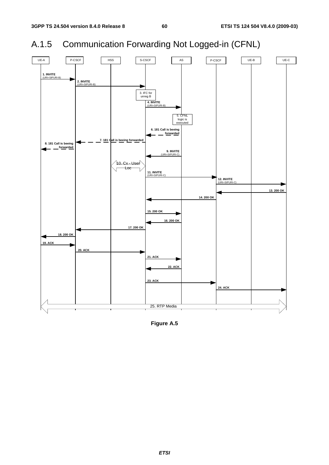## A.1.5 Communication Forwarding Not Logged-in (CFNL)



**Figure A.5**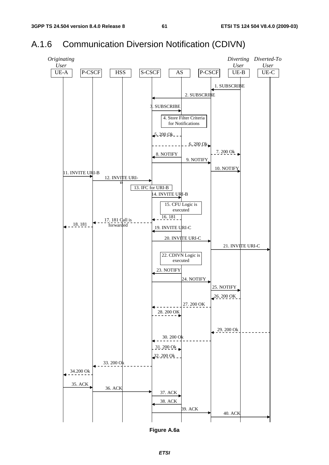## A.1.6 Communication Diversion Notification (CDIVN)



**Figure A.6a**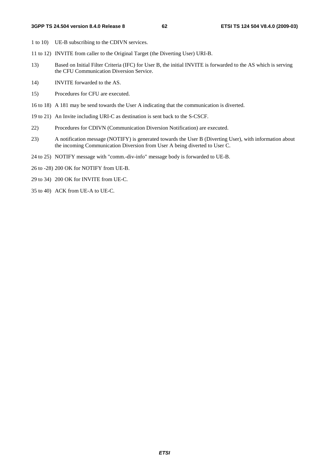- 1 to 10) UE-B subscribing to the CDIVN services.
- 11 to 12) INVITE from caller to the Original Target (the Diverting User) URI-B.
- 13) Based on Initial Filter Criteria (IFC) for User B, the initial INVITE is forwarded to the AS which is serving the CFU Communication Diversion Service.
- 14) INVITE forwarded to the AS.
- 15) Procedures for CFU are executed.
- 16 to 18) A 181 may be send towards the User A indicating that the communication is diverted.
- 19 to 21) An Invite including URI-C as destination is sent back to the S-CSCF.
- 22) Procedures for CDIVN (Communication Diversion Notification) are executed.
- 23) A notification message (NOTIFY) is generated towards the User B (Diverting User), with information about the incoming Communication Diversion from User A being diverted to User C.
- 24 to 25) NOTIFY message with "comm.-div-info" message body is forwarded to UE-B.
- 26 to -28) 200 OK for NOTIFY from UE-B.
- 29 to 34) 200 OK for INVITE from UE-C.
- 35 to 40) ACK from UE-A to UE-C.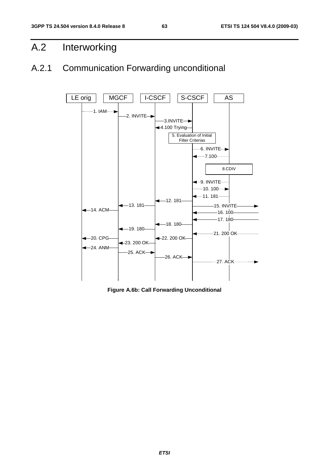## A.2 Interworking

## A.2.1 Communication Forwarding unconditional



**Figure A.6b: Call Forwarding Unconditional**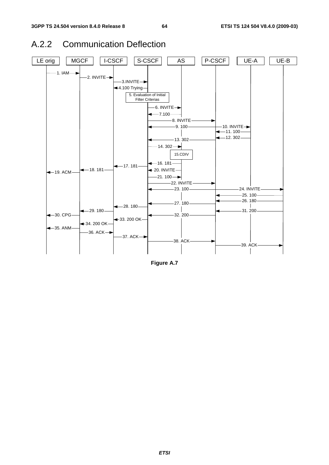



**Figure A.7**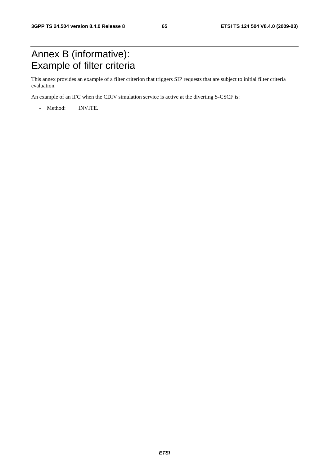## Annex B (informative): Example of filter criteria

This annex provides an example of a filter criterion that triggers SIP requests that are subject to initial filter criteria evaluation.

An example of an IFC when the CDIV simulation service is active at the diverting S-CSCF is:

- Method: INVITE.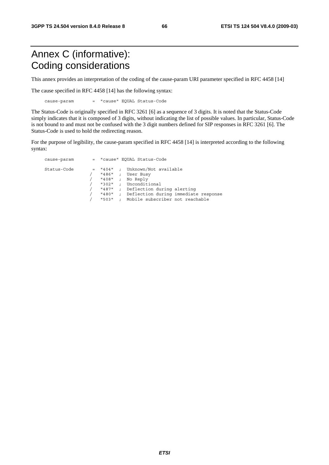## Annex C (informative): Coding considerations

This annex provides an interpretation of the coding of the cause-param URI parameter specified in RFC 4458 [14]

The cause specified in RFC 4458 [14] has the following syntax:

cause-param = "cause" EQUAL Status-Code

The Status-Code is originally specified in RFC 3261 [6] as a sequence of 3 digits. It is noted that the Status-Code simply indicates that it is composed of 3 digits, without indicating the list of possible values. In particular, Status-Code is not bound to and must not be confused with the 3 digit numbers defined for SIP responses in RFC 3261 [6]. The Status-Code is used to hold the redirecting reason.

For the purpose of legibility, the cause-param specified in RFC 4458 [14] is interpreted according to the following syntax:

| cause-param |                                                                   |                                                                          | = "cause" EQUAL Status-Code                                                                                                                                                |
|-------------|-------------------------------------------------------------------|--------------------------------------------------------------------------|----------------------------------------------------------------------------------------------------------------------------------------------------------------------------|
| Status-Code | $=$ "404" ;<br>"486"<br>"408"<br>"302"<br>"487"<br>"480"<br>"503" | $\mathbf{r}$<br>$\ddot{ }$<br>$\cdot$<br>$\ddot{\phantom{0}}$<br>$\cdot$ | Unknown/Not available<br>User Busy<br>No Reply<br>; Unconditional<br>Deflection during alerting<br>Deflection during immediate response<br>Mobile subscriber not reachable |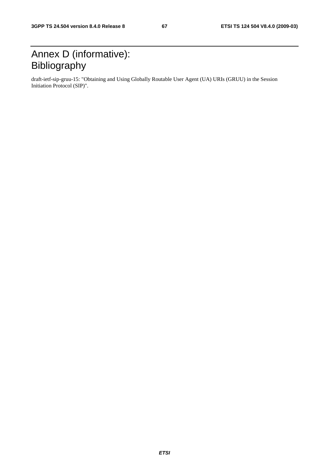## Annex D (informative): Bibliography

draft-ietf-sip-gruu-15: "Obtaining and Using Globally Routable User Agent (UA) URIs (GRUU) in the Session Initiation Protocol (SIP)".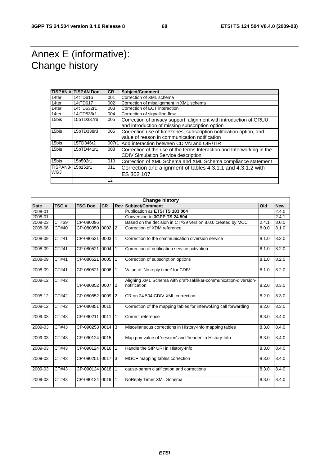## Annex E (informative): Change history

|                  | <b>TISPAN # TISPAN Doc.</b> | <b>CR</b> | Subject/Comment                                                        |
|------------------|-----------------------------|-----------|------------------------------------------------------------------------|
| 14ter            | 14tTD616                    | 001       | Correction of XML schema                                               |
| 14ter            | 14tTD617                    | 002       | Correction of misalignment in XML schema                               |
| 14ter            | 14tTD532r1                  | 003       | Correction of ECT interaction                                          |
| 14ter            | 14tTD536r1                  | 004       | Correction of signalling flow                                          |
| 15bis            | 15bTD337r6                  | 005       | Correction of privacy support, alignment with introduction of GRUU,    |
|                  |                             |           | and introduction of missing subscription option                        |
| 15bis            | 15bTD338r3                  | 006       | Correction use of timezones, subscription notification option, and     |
|                  |                             |           | value of reason in communication notification                          |
| 15bis            | 15TD346r2                   |           | 007r1 Add interaction between CDIVN and OIR/TIR                        |
| 15bis            | 15bTD441r1                  | 008       | Correction of the use of the terms Interaction and Interworking in the |
|                  |                             |           | <b>CDIV Simulation Service description</b>                             |
| 15bis            | 15b502r1                    | 010       | Correction of XML Schema and XML Schema compliance statement           |
| TISPAN3-15b151r1 |                             | 011       | Correction and alignment of tables 4.3.1.1 and 4.3.1.2 with            |
| WG3              |                             |           | ES 302 107                                                             |
|                  |                             | 12        |                                                                        |

| <b>Change history</b> |       |                  |           |           |                                                                                  |       |            |
|-----------------------|-------|------------------|-----------|-----------|----------------------------------------------------------------------------------|-------|------------|
| <b>Date</b>           | TSG#  | <b>TSG Doc.</b>  | <b>CR</b> |           | <b>Rev Subject/Comment</b>                                                       | Old   | <b>New</b> |
| 2008-01               |       |                  |           |           | Publication as ETSI TS 183 004                                                   |       | 2.4.0      |
| 2008-01               |       |                  |           |           | Conversion to 3GPP TS 24.504                                                     |       | 2.4.1      |
| 2008-03               | CT#39 | CP-080096        |           |           | Based on the decision in CT#39 version 8.0.0 created by MCC                      | 2.4.1 | 8.0.0      |
| 2008-06               | CT#40 | CP-080350 0002 2 |           |           | Correction of XDM reference                                                      | 8.0.0 | 8.1.0      |
| 2008-09               | CT#41 | CP-080521 0003 1 |           |           | Correction to the communication diversion service                                | 8.1.0 | 8.2.0      |
| 2008-09               | CT#41 | CP-080521 0004   |           | $\vert$ 1 | Correction of notification service activation                                    | 8.1.0 | 8.2.0      |
| 2008-09               | CT#41 | CP-080521 0005   |           | $\vert$ 1 | Correction of subscription options                                               | 8.1.0 | 8.2.0      |
| 2008-09               | CT#41 | CP-080521 0006   |           | $\vert$ 1 | Value of 'No reply timer' for CDIV                                               | 8.1.0 | 8.2.0      |
| 2008-12               | CT#42 | CP-080852 0007 2 |           |           | Aligning XML Schema with draft-saklikar-communication-diversion-<br>notification | 8.2.0 | 8.3.0      |
| 2008-12               | CT#42 | CP-080852 0009 2 |           |           | CR on 24.504 CDIV XML correction                                                 | 8.2.0 | 8.3.0      |
| 2008-12               | CT#42 | CP-080851 0010   |           |           | Correction of the mapping tables for interwoking call forwarding                 | 8.2.0 | 8.3.0      |
| 2009-03               | CT#43 | CP-090211 0011 1 |           |           | Correct reference                                                                | 8.3.0 | 8.4.0      |
| 2009-03               | CT#43 | CP-090253 0014 3 |           |           | Miscellaneous corrections in History-Info mapping tables                         | 8.3.0 | 8.4.0      |
| 2009-03               | CT#43 | CP-090124 0015   |           |           | Map priv-value of 'session' and 'header' in History-Info                         | 8.3.0 | 8.4.0      |
| 2009-03               | CT#43 | CP-090124 0016 1 |           |           | Handle the SIP URI in History-Info                                               | 8.3.0 | 8.4.0      |
| 2009-03               | CT#43 | CP-090251 0017 3 |           |           | MGCF mapping tables correction                                                   | 8.3.0 | 8.4.0      |
| 2009-03               | CT#43 | CP-090124 0018   |           | $\vert$ 1 | cause-param clarification and corrections                                        | 8.3.0 | 8.4.0      |
| 2009-03               | CT#43 | CP-090124 0019   |           |           | NoReply Timer XML Schema                                                         | 8.3.0 | 8.4.0      |